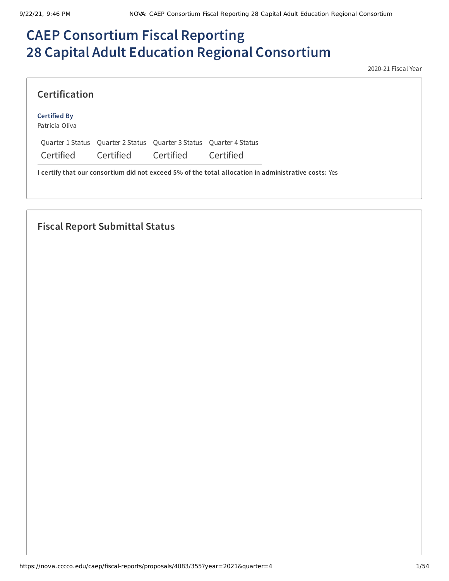# **CAEP Consortium Fiscal Reporting 28 Capital Adult Education Regional Consortium**

2020-21 Fiscal Year

| <b>Certification</b>                  |           |                                                    |           |
|---------------------------------------|-----------|----------------------------------------------------|-----------|
| <b>Certified By</b><br>Patricia Oliva |           |                                                    |           |
| Ouarter 1 Status                      |           | Quarter 2 Status Quarter 3 Status Quarter 4 Status |           |
| Certified                             | Certified | Certified                                          | Certified |

# **Fiscal Report Submittal Status**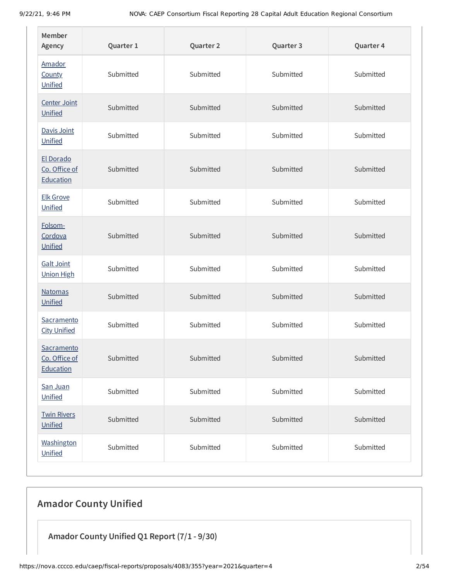| Member<br>Agency                         | Quarter 1 | Quarter 2 | Quarter 3 | Quarter 4 |
|------------------------------------------|-----------|-----------|-----------|-----------|
| Amador<br><b>County</b><br>Unified       | Submitted | Submitted | Submitted | Submitted |
| Center Joint<br>Unified                  | Submitted | Submitted | Submitted | Submitted |
| Davis Joint<br>Unified                   | Submitted | Submitted | Submitted | Submitted |
| El Dorado<br>Co. Office of<br>Education  | Submitted | Submitted | Submitted | Submitted |
| <b>Elk Grove</b><br>Unified              | Submitted | Submitted | Submitted | Submitted |
| Folsom-<br>Cordova<br>Unified            | Submitted | Submitted | Submitted | Submitted |
| <b>Galt Joint</b><br><b>Union High</b>   | Submitted | Submitted | Submitted | Submitted |
| <b>Natomas</b><br>Unified                | Submitted | Submitted | Submitted | Submitted |
| Sacramento<br><b>City Unified</b>        | Submitted | Submitted | Submitted | Submitted |
| Sacramento<br>Co. Office of<br>Education | Submitted | Submitted | Submitted | Submitted |
| San Juan<br>Unified                      | Submitted | Submitted | Submitted | Submitted |
| <b>Twin Rivers</b><br>Unified            | Submitted | Submitted | Submitted | Submitted |
| Washington<br>Unified                    | Submitted | Submitted | Submitted | Submitted |

# **Amador County Unified**

**Amador County Unified Q1 Report (7/1 - 9/30)**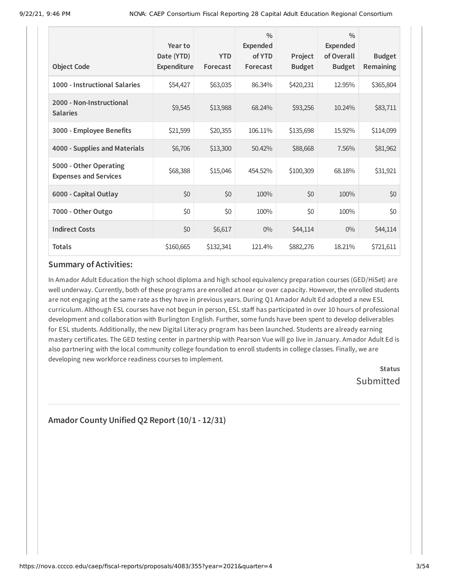| <b>Object Code</b>                                     | Year to<br>Date (YTD)<br>Expenditure | <b>YTD</b><br>Forecast | $\frac{0}{0}$<br><b>Expended</b><br>of YTD<br>Forecast | Project<br><b>Budget</b> | $\frac{0}{0}$<br><b>Expended</b><br>of Overall<br><b>Budget</b> | <b>Budget</b><br>Remaining |
|--------------------------------------------------------|--------------------------------------|------------------------|--------------------------------------------------------|--------------------------|-----------------------------------------------------------------|----------------------------|
| 1000 - Instructional Salaries                          | \$54,427                             | \$63,035               | 86.34%                                                 | \$420,231                | 12.95%                                                          | \$365,804                  |
| 2000 - Non-Instructional<br><b>Salaries</b>            | \$9,545                              | \$13,988               | 68.24%                                                 | \$93,256                 | 10.24%                                                          | \$83,711                   |
| 3000 - Employee Benefits                               | \$21,599                             | \$20,355               | 106.11%                                                | \$135,698                | 15.92%                                                          | \$114,099                  |
| 4000 - Supplies and Materials                          | \$6,706                              | \$13,300               | 50.42%                                                 | \$88,668                 | 7.56%                                                           | \$81,962                   |
| 5000 - Other Operating<br><b>Expenses and Services</b> | \$68,388                             | \$15,046               | 454.52%                                                | \$100,309                | 68.18%                                                          | \$31,921                   |
| 6000 - Capital Outlay                                  | \$0                                  | \$0                    | 100%                                                   | \$0                      | 100%                                                            | \$0                        |
| 7000 - Other Outgo                                     | \$0                                  | \$0                    | 100%                                                   | \$0                      | 100%                                                            | \$0                        |
| <b>Indirect Costs</b>                                  | \$0                                  | \$6,617                | $0\%$                                                  | \$44,114                 | $0\%$                                                           | \$44,114                   |
| <b>Totals</b>                                          | \$160,665                            | \$132,341              | 121.4%                                                 | \$882,276                | 18.21%                                                          | \$721,611                  |

In Amador Adult Education the high school diploma and high school equivalency preparation courses (GED/HiSet) are well underway. Currently, both of these programs are enrolled at near or over capacity. However, the enrolled students are not engaging at the same rate as they have in previous years. During Q1 Amador Adult Ed adopted a new ESL curriculum. Although ESL courses have not begun in person, ESL staff has participated in over 10 hours of professional development and collaboration with Burlington English. Further, some funds have been spent to develop deliverables for ESL students. Additionally, the new Digital Literacy program has been launched. Students are already earning mastery certificates. The GED testing center in partnership with Pearson Vue will go live in January. Amador Adult Ed is also partnering with the local community college foundation to enroll students in college classes. Finally, we are developing new workforce readiness courses to implement.

> **Status** Submitted

**Amador County Unified Q2 Report (10/1 - 12/31)**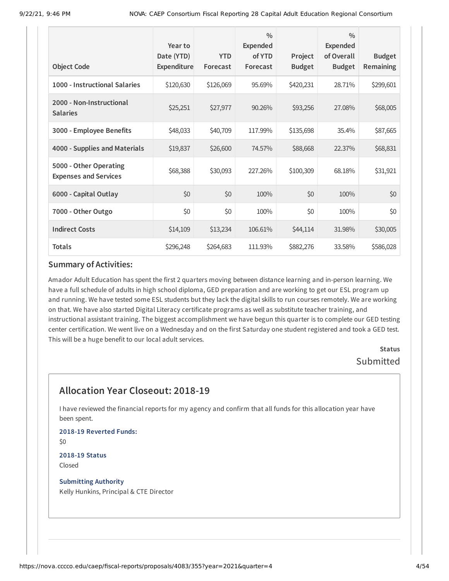| <b>Object Code</b>                                     | Year to<br>Date (YTD)<br><b>Expenditure</b> | <b>YTD</b><br>Forecast | $\frac{0}{0}$<br><b>Expended</b><br>of YTD<br>Forecast | Project<br><b>Budget</b> | $\frac{0}{0}$<br><b>Expended</b><br>of Overall<br><b>Budget</b> | <b>Budget</b><br>Remaining |
|--------------------------------------------------------|---------------------------------------------|------------------------|--------------------------------------------------------|--------------------------|-----------------------------------------------------------------|----------------------------|
| 1000 - Instructional Salaries                          | \$120,630                                   | \$126,069              | 95.69%                                                 | \$420,231                | 28.71%                                                          | \$299,601                  |
| 2000 - Non-Instructional<br><b>Salaries</b>            | \$25,251                                    | \$27,977               | 90.26%                                                 | \$93,256                 | 27.08%                                                          | \$68,005                   |
| 3000 - Employee Benefits                               | \$48,033                                    | \$40,709               | 117.99%                                                | \$135,698                | 35.4%                                                           | \$87,665                   |
| 4000 - Supplies and Materials                          | \$19,837                                    | \$26,600               | 74.57%                                                 | \$88,668                 | 22.37%                                                          | \$68,831                   |
| 5000 - Other Operating<br><b>Expenses and Services</b> | \$68,388                                    | \$30,093               | 227.26%                                                | \$100,309                | 68.18%                                                          | \$31,921                   |
| 6000 - Capital Outlay                                  | \$0                                         | \$0                    | 100%                                                   | \$0                      | 100%                                                            | \$0                        |
| 7000 - Other Outgo                                     | \$0                                         | \$0                    | 100%                                                   | \$0                      | 100%                                                            | \$0                        |
| <b>Indirect Costs</b>                                  | \$14,109                                    | \$13,234               | 106.61%                                                | \$44,114                 | 31.98%                                                          | \$30,005                   |
| <b>Totals</b>                                          | \$296,248                                   | \$264,683              | 111.93%                                                | \$882,276                | 33.58%                                                          | \$586,028                  |

Amador Adult Education has spent the first 2 quarters moving between distance learning and in-person learning. We have a full schedule of adults in high school diploma, GED preparation and are working to get our ESL program up and running. We have tested some ESL students but they lack the digital skills to run courses remotely. We are working on that. We have also started Digital Literacy certificate programs as well as substitute teacher training, and instructional assistant training. The biggest accomplishment we have begun this quarter is to complete our GED testing center certification. We went live on a Wednesday and on the first Saturday one student registered and took a GED test. This will be a huge benefit to our local adult services.

> **Status** Submitted

# **Allocation Year Closeout: 2018-19**

I have reviewed the financial reports for my agency and confirm that all funds for this allocation year have been spent.

**2018-19 Reverted Funds:** \$0

**2018-19 Status** Closed

**Submitting Authority** Kelly Hunkins, Principal & CTE Director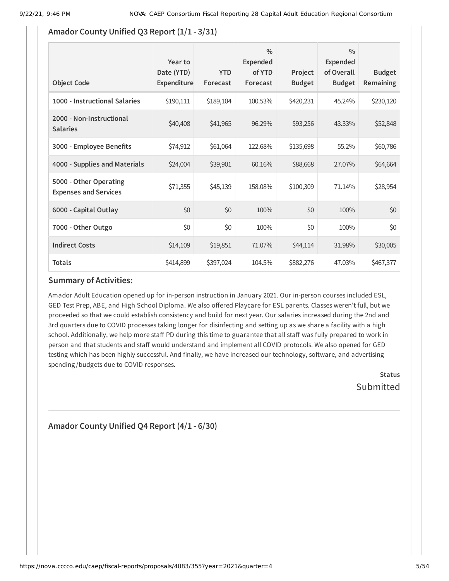### **Amador County Unified Q3 Report (1/1 - 3/31)**

| <b>Object Code</b>                                     | Year to<br>Date (YTD)<br><b>Expenditure</b> | <b>YTD</b><br>Forecast | $\frac{0}{0}$<br>Expended<br>of YTD<br>Forecast | Project<br><b>Budget</b> | $\frac{0}{0}$<br>Expended<br>of Overall<br><b>Budget</b> | <b>Budget</b><br>Remaining |
|--------------------------------------------------------|---------------------------------------------|------------------------|-------------------------------------------------|--------------------------|----------------------------------------------------------|----------------------------|
| 1000 - Instructional Salaries                          | \$190,111                                   | \$189,104              | 100.53%                                         | \$420,231                | 45.24%                                                   | \$230,120                  |
| 2000 - Non-Instructional<br><b>Salaries</b>            | \$40,408                                    | \$41,965               | 96.29%                                          | \$93,256                 | 43.33%                                                   | \$52,848                   |
| 3000 - Employee Benefits                               | \$74,912                                    | \$61,064               | 122.68%                                         | \$135,698                | 55.2%                                                    | \$60,786                   |
| 4000 - Supplies and Materials                          | \$24,004                                    | \$39,901               | 60.16%                                          | \$88,668                 | 27.07%                                                   | \$64,664                   |
| 5000 - Other Operating<br><b>Expenses and Services</b> | \$71,355                                    | \$45,139               | 158.08%                                         | \$100,309                | 71.14%                                                   | \$28,954                   |
| 6000 - Capital Outlay                                  | \$0                                         | \$0                    | 100%                                            | \$0                      | 100%                                                     | \$0                        |
| 7000 - Other Outgo                                     | \$0                                         | \$0                    | 100%                                            | \$0                      | 100%                                                     | \$0                        |
| <b>Indirect Costs</b>                                  | \$14,109                                    | \$19,851               | 71.07%                                          | \$44,114                 | 31.98%                                                   | \$30,005                   |
| <b>Totals</b>                                          | \$414,899                                   | \$397,024              | 104.5%                                          | \$882,276                | 47.03%                                                   | \$467,377                  |

#### **Summary of Activities:**

Amador Adult Education opened up for in-person instruction in January 2021. Our in-person courses included ESL, GED Test Prep, ABE, and High School Diploma. We also offered Playcare for ESL parents. Classes weren't full, but we proceeded so that we could establish consistency and build for next year. Our salaries increased during the 2nd and 3rd quarters due to COVID processes taking longer for disinfecting and setting up as we share a facility with a high school. Additionally, we help more staff PD during this time to guarantee that all staff was fully prepared to work in person and that students and staff would understand and implement all COVID protocols. We also opened for GED testing which has been highly successful. And finally, we have increased our technology, software, and advertising spending /budgets due to COVID responses.

> **Status Submitted**

# **Amador County Unified Q4 Report (4/1 - 6/30)**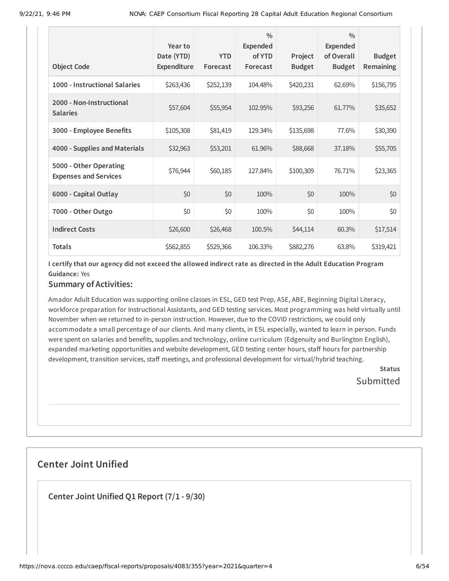| <b>Object Code</b>                                     | Year to<br>Date (YTD)<br>Expenditure | <b>YTD</b><br>Forecast | $\frac{0}{0}$<br><b>Expended</b><br>of YTD<br>Forecast | Project<br><b>Budget</b> | $\frac{0}{0}$<br><b>Expended</b><br>of Overall<br><b>Budget</b> | <b>Budget</b><br>Remaining |
|--------------------------------------------------------|--------------------------------------|------------------------|--------------------------------------------------------|--------------------------|-----------------------------------------------------------------|----------------------------|
| 1000 - Instructional Salaries                          | \$263,436                            | \$252,139              | 104.48%                                                | \$420,231                | 62.69%                                                          | \$156,795                  |
| 2000 - Non-Instructional<br><b>Salaries</b>            | \$57,604                             | \$55,954               | 102.95%                                                | \$93,256                 | 61.77%                                                          | \$35,652                   |
| 3000 - Employee Benefits                               | \$105,308                            | \$81,419               | 129.34%                                                | \$135,698                | 77.6%                                                           | \$30,390                   |
| 4000 - Supplies and Materials                          | \$32,963                             | \$53,201               | 61.96%                                                 | \$88,668                 | 37.18%                                                          | \$55,705                   |
| 5000 - Other Operating<br><b>Expenses and Services</b> | \$76,944                             | \$60,185               | 127.84%                                                | \$100,309                | 76.71%                                                          | \$23,365                   |
| 6000 - Capital Outlay                                  | \$0                                  | \$0                    | 100%                                                   | \$0                      | 100%                                                            | \$0                        |
| 7000 - Other Outgo                                     | \$0                                  | \$0                    | 100%                                                   | \$0                      | 100%                                                            | \$0                        |
| <b>Indirect Costs</b>                                  | \$26,600                             | \$26,468               | 100.5%                                                 | \$44,114                 | 60.3%                                                           | \$17,514                   |
| <b>Totals</b>                                          | \$562,855                            | \$529,366              | 106.33%                                                | \$882,276                | 63.8%                                                           | \$319,421                  |

#### **Summary of Activities:**

Amador Adult Education was supporting online classes in ESL, GED test Prep, ASE, ABE, Beginning Digital Literacy, workforce preparation for Instructional Assistants, and GED testing services. Most programming was held virtually until November when we returned to in-person instruction. However, due to the COVID restrictions, we could only accommodate a small percentage of our clients. And many clients, in ESL especially, wanted to learn in person. Funds were spent on salaries and benefits, supplies and technology, online curriculum (Edgenuity and Burlington English), expanded marketing opportunities and website development, GED testing center hours, staff hours for partnership development, transition services, staff meetings, and professional development for virtual/hybrid teaching.

> **Status** Submitted

# **Center Joint Unified**

**Center Joint Unified Q1 Report (7/1 - 9/30)**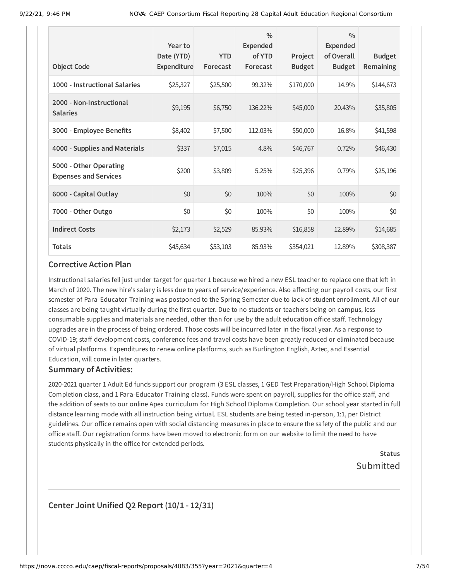| <b>Object Code</b>                                     | Year to<br>Date (YTD)<br>Expenditure | <b>YTD</b><br>Forecast | $\frac{0}{0}$<br><b>Expended</b><br>of YTD<br>Forecast | Project<br><b>Budget</b> | $\frac{0}{0}$<br><b>Expended</b><br>of Overall<br><b>Budget</b> | <b>Budget</b><br>Remaining |
|--------------------------------------------------------|--------------------------------------|------------------------|--------------------------------------------------------|--------------------------|-----------------------------------------------------------------|----------------------------|
| 1000 - Instructional Salaries                          | \$25,327                             | \$25,500               | 99.32%                                                 | \$170,000                | 14.9%                                                           | \$144,673                  |
| 2000 - Non-Instructional<br><b>Salaries</b>            | \$9,195                              | \$6,750                | 136.22%                                                | \$45,000                 | 20.43%                                                          | \$35,805                   |
| 3000 - Employee Benefits                               | \$8,402                              | \$7,500                | 112.03%                                                | \$50,000                 | 16.8%                                                           | \$41,598                   |
| 4000 - Supplies and Materials                          | \$337                                | \$7,015                | 4.8%                                                   | \$46,767                 | 0.72%                                                           | \$46,430                   |
| 5000 - Other Operating<br><b>Expenses and Services</b> | \$200                                | \$3,809                | 5.25%                                                  | \$25,396                 | 0.79%                                                           | \$25,196                   |
| 6000 - Capital Outlay                                  | \$0                                  | \$0                    | 100%                                                   | \$0                      | 100%                                                            | \$0                        |
| 7000 - Other Outgo                                     | \$0                                  | \$0                    | 100%                                                   | \$0                      | 100%                                                            | \$0                        |
| <b>Indirect Costs</b>                                  | \$2,173                              | \$2,529                | 85.93%                                                 | \$16,858                 | 12.89%                                                          | \$14,685                   |
| <b>Totals</b>                                          | \$45,634                             | \$53,103               | 85.93%                                                 | \$354,021                | 12.89%                                                          | \$308,387                  |

Instructional salaries fell just under target for quarter 1 because we hired a new ESL teacher to replace one that left in March of 2020. The new hire's salary is less due to years of service/experience. Also affecting our payroll costs, our first semester of Para-Educator Training was postponed to the Spring Semester due to lack of student enrollment. All of our classes are being taught virtually during the first quarter. Due to no students or teachers being on campus, less consumable supplies and materials are needed, other than for use by the adult education office staff. Technology upgrades are in the process of being ordered. Those costs will be incurred later in the fiscal year. As a response to COVID-19; staff development costs, conference fees and travel costs have been greatly reduced or eliminated because of virtual platforms. Expenditures to renew online platforms, such as Burlington English, Aztec, and Essential Education, will come in later quarters.

#### **Summary of Activities:**

2020-2021 quarter 1 Adult Ed funds support our program (3 ESL classes, 1 GED Test Preparation/High School Diploma Completion class, and 1 Para-Educator Training class). Funds were spent on payroll, supplies for the office staff, and the addition of seats to our online Apex curriculum for High School Diploma Completion. Our school year started in full distance learning mode with all instruction being virtual. ESL students are being tested in-person, 1:1, per District guidelines. Our office remains open with social distancing measures in place to ensure the safety of the public and our office staff. Our registration forms have been moved to electronic form on our website to limit the need to have students physically in the office for extended periods.

> **Status** Submitted

### **Center Joint Unified Q2 Report (10/1 - 12/31)**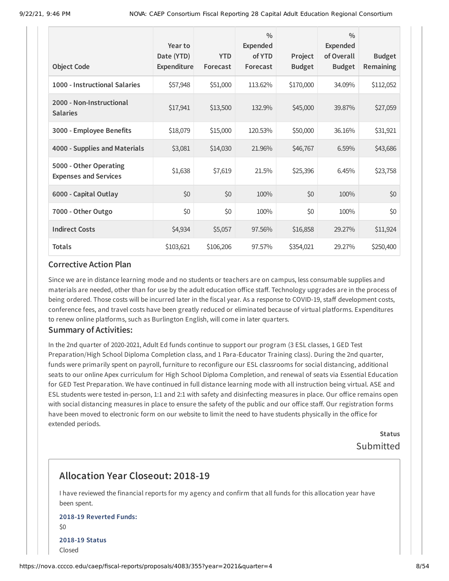|                                                        | Year to                          |                        | $\frac{0}{0}$<br><b>Expended</b> |                          | $\frac{0}{0}$<br><b>Expended</b> |                            |
|--------------------------------------------------------|----------------------------------|------------------------|----------------------------------|--------------------------|----------------------------------|----------------------------|
| <b>Object Code</b>                                     | Date (YTD)<br><b>Expenditure</b> | <b>YTD</b><br>Forecast | of YTD<br>Forecast               | Project<br><b>Budget</b> | of Overall<br><b>Budget</b>      | <b>Budget</b><br>Remaining |
| 1000 - Instructional Salaries                          | \$57,948                         | \$51,000               | 113.62%                          | \$170,000                | 34.09%                           | \$112,052                  |
| 2000 - Non-Instructional<br><b>Salaries</b>            | \$17,941                         | \$13,500               | 132.9%                           | \$45,000                 | 39.87%                           | \$27,059                   |
| 3000 - Employee Benefits                               | \$18,079                         | \$15,000               | 120.53%                          | \$50,000                 | 36.16%                           | \$31,921                   |
| 4000 - Supplies and Materials                          | \$3,081                          | \$14,030               | 21.96%                           | \$46,767                 | 6.59%                            | \$43,686                   |
| 5000 - Other Operating<br><b>Expenses and Services</b> | \$1,638                          | \$7,619                | 21.5%                            | \$25,396                 | 6.45%                            | \$23,758                   |
| 6000 - Capital Outlay                                  | \$0                              | \$0                    | 100%                             | \$0                      | 100%                             | \$0                        |
| 7000 - Other Outgo                                     | \$0                              | \$0                    | 100%                             | \$0                      | 100%                             | \$0                        |
| <b>Indirect Costs</b>                                  | \$4,934                          | \$5,057                | 97.56%                           | \$16,858                 | 29.27%                           | \$11,924                   |
| <b>Totals</b>                                          | \$103,621                        | \$106,206              | 97.57%                           | \$354,021                | 29.27%                           | \$250,400                  |

Since we are in distance learning mode and no students or teachers are on campus, less consumable supplies and materials are needed, other than for use by the adult education office staff. Technology upgrades are in the process of being ordered. Those costs will be incurred later in the fiscal year. As a response to COVID-19, staff development costs, conference fees, and travel costs have been greatly reduced or eliminated because of virtual platforms. Expenditures to renew online platforms, such as Burlington English, will come in later quarters.

#### **Summary of Activities:**

In the 2nd quarter of 2020-2021, Adult Ed funds continue to support our program (3 ESL classes, 1 GED Test Preparation/High School Diploma Completion class, and 1 Para-Educator Training class). During the 2nd quarter, funds were primarily spent on payroll, furniture to reconfigure our ESL classrooms for social distancing, additional seats to our online Apex curriculum for High School Diploma Completion, and renewal of seats via Essential Education for GED Test Preparation. We have continued in full distance learning mode with all instruction being virtual. ASE and ESL students were tested in-person, 1:1 and 2:1 with safety and disinfecting measures in place. Our office remains open with social distancing measures in place to ensure the safety of the public and our office staff. Our registration forms have been moved to electronic form on our website to limit the need to have students physically in the office for extended periods.

> **Status** Submitted

# **Allocation Year Closeout: 2018-19**

I have reviewed the financial reports for my agency and confirm that all funds for this allocation year have been spent.

### **2018-19 Reverted Funds:** \$0 **2018-19 Status** Closed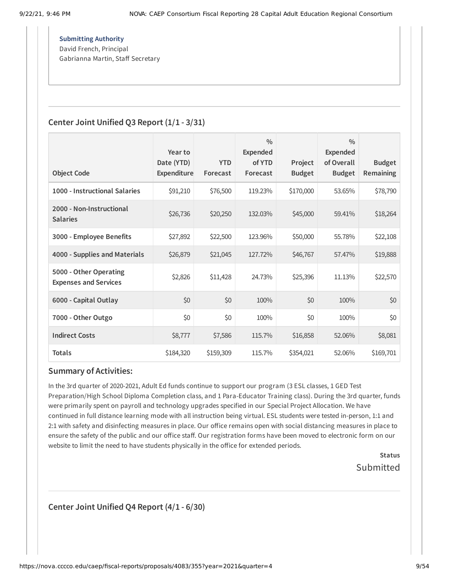**Submitting Authority** David French, Principal

Gabrianna Martin, Staff Secretary

### **Center Joint Unified Q3 Report (1/1 - 3/31)**

|                                                        | Year to<br>Date (YTD) | <b>YTD</b> | $\frac{0}{0}$<br><b>Expended</b><br>of YTD | Project       | $\frac{0}{0}$<br><b>Expended</b><br>of Overall | <b>Budget</b>    |
|--------------------------------------------------------|-----------------------|------------|--------------------------------------------|---------------|------------------------------------------------|------------------|
| <b>Object Code</b>                                     | <b>Expenditure</b>    | Forecast   | Forecast                                   | <b>Budget</b> | <b>Budget</b>                                  | <b>Remaining</b> |
| 1000 - Instructional Salaries                          | \$91,210              | \$76,500   | 119.23%                                    | \$170,000     | 53.65%                                         | \$78,790         |
| 2000 - Non-Instructional<br><b>Salaries</b>            | \$26,736              | \$20,250   | 132.03%                                    | \$45,000      | 59.41%                                         | \$18,264         |
| 3000 - Employee Benefits                               | \$27,892              | \$22,500   | 123.96%                                    | \$50,000      | 55.78%                                         | \$22,108         |
| 4000 - Supplies and Materials                          | \$26,879              | \$21,045   | 127.72%                                    | \$46,767      | 57.47%                                         | \$19,888         |
| 5000 - Other Operating<br><b>Expenses and Services</b> | \$2,826               | \$11,428   | 24.73%                                     | \$25,396      | 11.13%                                         | \$22,570         |
| 6000 - Capital Outlay                                  | \$0                   | \$0        | 100%                                       | \$0           | 100%                                           | \$0              |
| 7000 - Other Outgo                                     | \$0                   | \$0        | 100%                                       | \$0           | 100%                                           | \$0              |
| <b>Indirect Costs</b>                                  | \$8,777               | \$7,586    | 115.7%                                     | \$16,858      | 52.06%                                         | \$8,081          |
| Totals                                                 | \$184,320             | \$159,309  | 115.7%                                     | \$354,021     | 52.06%                                         | \$169,701        |

#### **Summary of Activities:**

In the 3rd quarter of 2020-2021, Adult Ed funds continue to support our program (3 ESL classes, 1 GED Test Preparation/High School Diploma Completion class, and 1 Para-Educator Training class). During the 3rd quarter, funds were primarily spent on payroll and technology upgrades specified in our Special Project Allocation. We have continued in full distance learning mode with all instruction being virtual. ESL students were tested in-person, 1:1 and 2:1 with safety and disinfecting measures in place. Our office remains open with social distancing measures in place to ensure the safety of the public and our office staff. Our registration forms have been moved to electronic form on our website to limit the need to have students physically in the office for extended periods.

> **Status** Submitted

**Center Joint Unified Q4 Report (4/1 - 6/30)**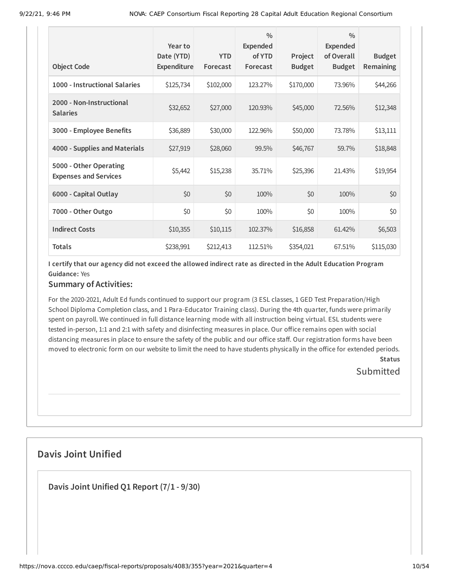|                                                        | Year to<br>Date (YTD) | <b>YTD</b> | $\frac{0}{0}$<br><b>Expended</b><br>of YTD | Project       | $\frac{0}{0}$<br><b>Expended</b><br>of Overall | <b>Budget</b>    |
|--------------------------------------------------------|-----------------------|------------|--------------------------------------------|---------------|------------------------------------------------|------------------|
| <b>Object Code</b>                                     | Expenditure           | Forecast   | Forecast                                   | <b>Budget</b> | <b>Budget</b>                                  | <b>Remaining</b> |
| 1000 - Instructional Salaries                          | \$125,734             | \$102,000  | 123.27%                                    | \$170,000     | 73.96%                                         | \$44,266         |
| 2000 - Non-Instructional<br><b>Salaries</b>            | \$32,652              | \$27,000   | 120.93%                                    | \$45,000      | 72.56%                                         | \$12,348         |
| 3000 - Employee Benefits                               | \$36,889              | \$30,000   | 122.96%                                    | \$50,000      | 73.78%                                         | \$13,111         |
| 4000 - Supplies and Materials                          | \$27,919              | \$28,060   | 99.5%                                      | \$46,767      | 59.7%                                          | \$18,848         |
| 5000 - Other Operating<br><b>Expenses and Services</b> | \$5,442               | \$15,238   | 35.71%                                     | \$25,396      | 21.43%                                         | \$19,954         |
| 6000 - Capital Outlay                                  | \$0                   | \$0        | 100%                                       | \$0           | 100%                                           | \$0              |
| 7000 - Other Outgo                                     | \$0                   | \$0        | 100%                                       | \$0           | 100%                                           | \$0              |
| <b>Indirect Costs</b>                                  | \$10,355              | \$10,115   | 102.37%                                    | \$16,858      | 61.42%                                         | \$6,503          |
| <b>Totals</b>                                          | \$238,991             | \$212,413  | 112.51%                                    | \$354,021     | 67.51%                                         | \$115,030        |

#### **Summary of Activities:**

For the 2020-2021, Adult Ed funds continued to support our program (3 ESL classes, 1 GED Test Preparation/High School Diploma Completion class, and 1 Para-Educator Training class). During the 4th quarter, funds were primarily spent on payroll. We continued in full distance learning mode with all instruction being virtual. ESL students were tested in-person, 1:1 and 2:1 with safety and disinfecting measures in place. Our office remains open with social distancing measures in place to ensure the safety of the public and our office staff. Our registration forms have been moved to electronic form on our website to limit the need to have students physically in the office for extended periods. **Status**

# **Submitted**

# **Davis Joint Unified**

**Davis Joint Unified Q1 Report (7/1 - 9/30)**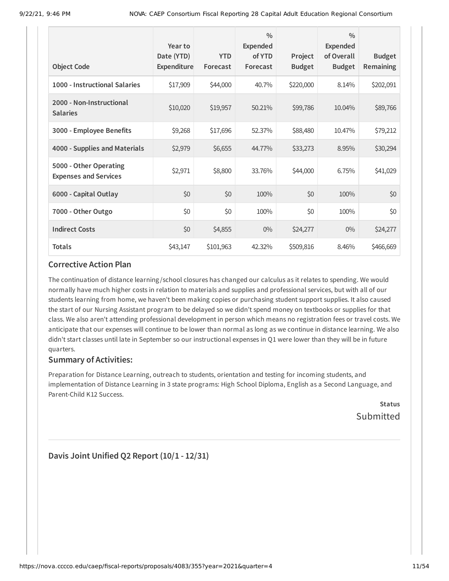| <b>Object Code</b>                                     | Year to<br>Date (YTD)<br>Expenditure | <b>YTD</b><br>Forecast | $\frac{0}{0}$<br><b>Expended</b><br>of YTD<br>Forecast | Project<br><b>Budget</b> | $\frac{0}{0}$<br><b>Expended</b><br>of Overall<br><b>Budget</b> | <b>Budget</b><br>Remaining |
|--------------------------------------------------------|--------------------------------------|------------------------|--------------------------------------------------------|--------------------------|-----------------------------------------------------------------|----------------------------|
| 1000 - Instructional Salaries                          | \$17,909                             | \$44,000               | 40.7%                                                  | \$220,000                | 8.14%                                                           | \$202,091                  |
| 2000 - Non-Instructional<br><b>Salaries</b>            | \$10,020                             | \$19,957               | 50.21%                                                 | \$99,786                 | 10.04%                                                          | \$89,766                   |
| 3000 - Employee Benefits                               | \$9,268                              | \$17,696               | 52.37%                                                 | \$88,480                 | 10.47%                                                          | \$79,212                   |
| 4000 - Supplies and Materials                          | \$2,979                              | \$6,655                | 44.77%                                                 | \$33,273                 | 8.95%                                                           | \$30,294                   |
| 5000 - Other Operating<br><b>Expenses and Services</b> | \$2,971                              | \$8,800                | 33.76%                                                 | \$44,000                 | 6.75%                                                           | \$41,029                   |
| 6000 - Capital Outlay                                  | \$0                                  | \$0                    | 100%                                                   | \$0                      | 100%                                                            | \$0                        |
| 7000 - Other Outgo                                     | \$0                                  | \$0                    | 100%                                                   | \$0                      | 100%                                                            | \$0                        |
| <b>Indirect Costs</b>                                  | \$0                                  | \$4,855                | $0\%$                                                  | \$24,277                 | $0\%$                                                           | \$24,277                   |
| <b>Totals</b>                                          | \$43,147                             | \$101,963              | 42.32%                                                 | \$509,816                | 8.46%                                                           | \$466,669                  |

The continuation of distance learning /school closures has changed our calculus as it relates to spending. We would normally have much higher costs in relation to materials and supplies and professional services, but with all of our students learning from home, we haven't been making copies or purchasing student support supplies. It also caused the start of our Nursing Assistant program to be delayed so we didn't spend money on textbooks or supplies for that class. We also aren't attending professional development in person which means no registration fees or travel costs. We anticipate that our expenses will continue to be lower than normal as long as we continue in distance learning. We also didn't start classes until late in September so our instructional expenses in Q1 were lower than they will be in future quarters.

#### **Summary of Activities:**

Preparation for Distance Learning, outreach to students, orientation and testing for incoming students, and implementation of Distance Learning in 3 state programs: High School Diploma, English as a Second Language, and Parent-Child K12 Success.

**Status** Submitted

**Davis Joint Unified Q2 Report (10/1 - 12/31)**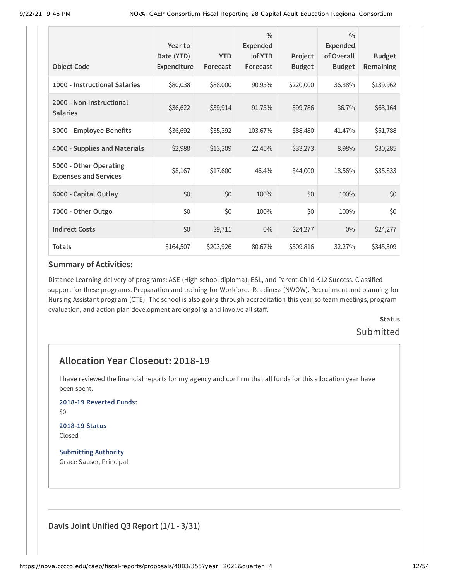|                                                        | Year to<br>Date (YTD) | <b>YTD</b> | $\frac{0}{0}$<br>Expended<br>of YTD | Project       | $\frac{0}{0}$<br><b>Expended</b><br>of Overall | <b>Budget</b> |
|--------------------------------------------------------|-----------------------|------------|-------------------------------------|---------------|------------------------------------------------|---------------|
| <b>Object Code</b>                                     | Expenditure           | Forecast   | Forecast                            | <b>Budget</b> | <b>Budget</b>                                  | Remaining     |
| 1000 - Instructional Salaries                          | \$80,038              | \$88,000   | 90.95%                              | \$220,000     | 36.38%                                         | \$139,962     |
| 2000 - Non-Instructional<br><b>Salaries</b>            | \$36,622              | \$39,914   | 91.75%                              | \$99,786      | 36.7%                                          | \$63,164      |
| 3000 - Employee Benefits                               | \$36,692              | \$35,392   | 103.67%                             | \$88,480      | 41.47%                                         | \$51,788      |
| 4000 - Supplies and Materials                          | \$2,988               | \$13,309   | 22.45%                              | \$33,273      | 8.98%                                          | \$30,285      |
| 5000 - Other Operating<br><b>Expenses and Services</b> | \$8,167               | \$17,600   | 46.4%                               | \$44,000      | 18.56%                                         | \$35,833      |
| 6000 - Capital Outlay                                  | \$0                   | \$0        | 100%                                | \$0           | 100%                                           | \$0           |
| 7000 - Other Outgo                                     | \$0                   | \$0        | 100%                                | \$0           | 100%                                           | \$0           |
| <b>Indirect Costs</b>                                  | \$0                   | \$9,711    | $0\%$                               | \$24,277      | $0\%$                                          | \$24,277      |
| <b>Totals</b>                                          | \$164,507             | \$203,926  | 80.67%                              | \$509,816     | 32.27%                                         | \$345,309     |

Distance Learning delivery of programs: ASE (High school diploma), ESL, and Parent-Child K12 Success. Classified support for these programs. Preparation and training for Workforce Readiness (NWOW). Recruitment and planning for Nursing Assistant program (CTE). The school is also going through accreditation this year so team meetings, program evaluation, and action plan development are ongoing and involve all staff.

# **Status** Submitted

# **Allocation Year Closeout: 2018-19**

I have reviewed the financial reports for my agency and confirm that all funds for this allocation year have been spent.

**2018-19 Reverted Funds:**

\$0

#### **2018-19 Status** Closed

**Submitting Authority** Grace Sauser, Principal

**Davis Joint Unified Q3 Report (1/1 - 3/31)**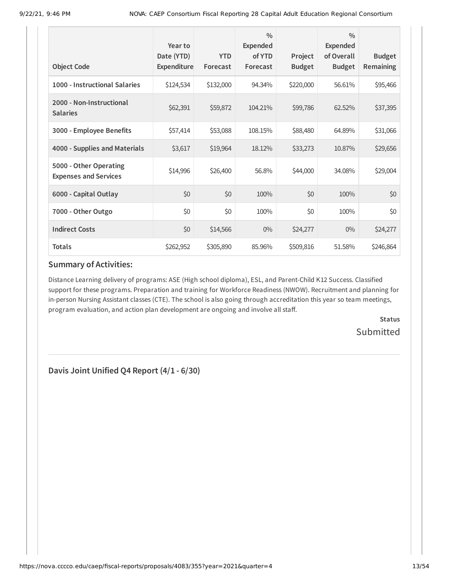| <b>Object Code</b>                                     | Year to<br>Date (YTD)<br><b>Expenditure</b> | <b>YTD</b><br>Forecast | $\frac{0}{0}$<br><b>Expended</b><br>of YTD<br>Forecast | Project<br><b>Budget</b> | $\frac{0}{0}$<br><b>Expended</b><br>of Overall<br><b>Budget</b> | <b>Budget</b><br>Remaining |
|--------------------------------------------------------|---------------------------------------------|------------------------|--------------------------------------------------------|--------------------------|-----------------------------------------------------------------|----------------------------|
| 1000 - Instructional Salaries                          | \$124,534                                   | \$132,000              | 94.34%                                                 | \$220,000                | 56.61%                                                          | \$95,466                   |
| 2000 - Non-Instructional<br><b>Salaries</b>            | \$62,391                                    | \$59,872               | 104.21%                                                | \$99,786                 | 62.52%                                                          | \$37,395                   |
| 3000 - Employee Benefits                               | \$57,414                                    | \$53,088               | 108.15%                                                | \$88,480                 | 64.89%                                                          | \$31,066                   |
| 4000 - Supplies and Materials                          | \$3,617                                     | \$19,964               | 18.12%                                                 | \$33,273                 | 10.87%                                                          | \$29,656                   |
| 5000 - Other Operating<br><b>Expenses and Services</b> | \$14,996                                    | \$26,400               | 56.8%                                                  | \$44,000                 | 34.08%                                                          | \$29,004                   |
| 6000 - Capital Outlay                                  | \$0                                         | \$0                    | 100%                                                   | \$0                      | 100%                                                            | \$0                        |
| 7000 - Other Outgo                                     | \$0                                         | \$0                    | 100%                                                   | \$0                      | 100%                                                            | \$0                        |
| <b>Indirect Costs</b>                                  | \$0                                         | \$14,566               | $0\%$                                                  | \$24,277                 | $0\%$                                                           | \$24,277                   |
| <b>Totals</b>                                          | \$262,952                                   | \$305,890              | 85.96%                                                 | \$509,816                | 51.58%                                                          | \$246,864                  |

Distance Learning delivery of programs: ASE (High school diploma), ESL, and Parent-Child K12 Success. Classified support for these programs. Preparation and training for Workforce Readiness (NWOW). Recruitment and planning for in-person Nursing Assistant classes (CTE). The school is also going through accreditation this year so team meetings, program evaluation, and action plan development are ongoing and involve all staff.

> **Status Submitted**

**Davis Joint Unified Q4 Report (4/1 - 6/30)**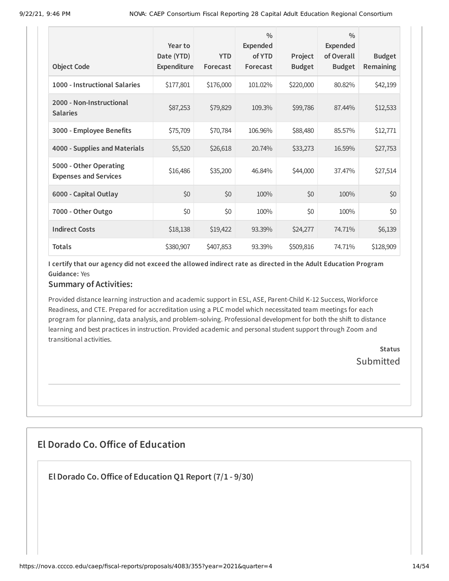|                                                        | Year to<br>Date (YTD) | <b>YTD</b> | $\frac{0}{0}$<br><b>Expended</b><br>of YTD | Project       | $\frac{0}{0}$<br><b>Expended</b><br>of Overall | <b>Budget</b>    |
|--------------------------------------------------------|-----------------------|------------|--------------------------------------------|---------------|------------------------------------------------|------------------|
| <b>Object Code</b>                                     | Expenditure           | Forecast   | Forecast                                   | <b>Budget</b> | <b>Budget</b>                                  | <b>Remaining</b> |
| 1000 - Instructional Salaries                          | \$177,801             | \$176,000  | 101.02%                                    | \$220,000     | 80.82%                                         | \$42,199         |
| 2000 - Non-Instructional<br><b>Salaries</b>            | \$87,253              | \$79,829   | 109.3%                                     | \$99,786      | 87.44%                                         | \$12,533         |
| 3000 - Employee Benefits                               | \$75,709              | \$70,784   | 106.96%                                    | \$88,480      | 85.57%                                         | \$12,771         |
| 4000 - Supplies and Materials                          | \$5,520               | \$26,618   | 20.74%                                     | \$33,273      | 16.59%                                         | \$27,753         |
| 5000 - Other Operating<br><b>Expenses and Services</b> | \$16,486              | \$35,200   | 46.84%                                     | \$44,000      | 37.47%                                         | \$27,514         |
| 6000 - Capital Outlay                                  | \$0                   | \$0        | 100%                                       | \$0           | 100%                                           | \$0              |
| 7000 - Other Outgo                                     | \$0                   | \$0        | 100%                                       | \$0           | 100%                                           | \$0              |
| <b>Indirect Costs</b>                                  | \$18,138              | \$19,422   | 93.39%                                     | \$24,277      | 74.71%                                         | \$6,139          |
| <b>Totals</b>                                          | \$380,907             | \$407,853  | 93.39%                                     | \$509,816     | 74.71%                                         | \$128,909        |

### **Summary of Activities:**

Provided distance learning instruction and academic support in ESL, ASE, Parent-Child K-12 Success, Workforce Readiness, and CTE. Prepared for accreditation using a PLC model which necessitated team meetings for each program for planning, data analysis, and problem-solving. Professional development for both the shift to distance learning and best practices in instruction. Provided academic and personal student support through Zoom and transitional activities.

> **Status Submitted**

# **El Dorado Co. Office of Education**

**El Dorado Co.Office of Education Q1 Report (7/1 - 9/30)**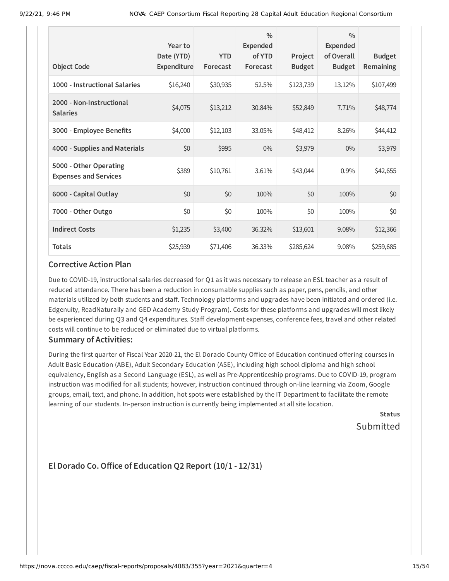| <b>Object Code</b>                                     | Year to<br>Date (YTD)<br>Expenditure | <b>YTD</b><br>Forecast | $\frac{0}{0}$<br>Expended<br>of YTD<br>Forecast | Project<br><b>Budget</b> | $\frac{0}{0}$<br><b>Expended</b><br>of Overall<br><b>Budget</b> | <b>Budget</b><br>Remaining |
|--------------------------------------------------------|--------------------------------------|------------------------|-------------------------------------------------|--------------------------|-----------------------------------------------------------------|----------------------------|
| 1000 - Instructional Salaries                          | \$16,240                             | \$30,935               | 52.5%                                           | \$123,739                | 13.12%                                                          | \$107,499                  |
| 2000 - Non-Instructional<br><b>Salaries</b>            | \$4,075                              | \$13,212               | 30.84%                                          | \$52,849                 | 7.71%                                                           | \$48,774                   |
| 3000 - Employee Benefits                               | \$4,000                              | \$12,103               | 33.05%                                          | \$48,412                 | 8.26%                                                           | \$44,412                   |
| 4000 - Supplies and Materials                          | \$0                                  | \$995                  | $0\%$                                           | \$3,979                  | $0\%$                                                           | \$3,979                    |
| 5000 - Other Operating<br><b>Expenses and Services</b> | \$389                                | \$10,761               | 3.61%                                           | \$43,044                 | 0.9%                                                            | \$42,655                   |
| 6000 - Capital Outlay                                  | \$0                                  | \$0                    | 100%                                            | \$0                      | 100%                                                            | \$0                        |
| 7000 - Other Outgo                                     | \$0                                  | \$0                    | 100%                                            | \$0                      | 100%                                                            | \$0                        |
| <b>Indirect Costs</b>                                  | \$1,235                              | \$3,400                | 36.32%                                          | \$13,601                 | 9.08%                                                           | \$12,366                   |
| <b>Totals</b>                                          | \$25,939                             | \$71,406               | 36.33%                                          | \$285,624                | 9.08%                                                           | \$259,685                  |

Due to COVID-19, instructional salaries decreased for Q1 as it was necessary to release an ESL teacher as a result of reduced attendance. There has been a reduction in consumable supplies such as paper, pens, pencils, and other materials utilized by both students and staff. Technology platforms and upgrades have been initiated and ordered (i.e. Edgenuity, ReadNaturally and GED Academy Study Program). Costs for these platforms and upgrades will most likely be experienced during Q3 and Q4 expenditures. Staff development expenses, conference fees, travel and other related costs will continue to be reduced or eliminated due to virtual platforms.

#### **Summary of Activities:**

During the first quarter of Fiscal Year 2020-21, the El Dorado County Office of Education continued offering courses in Adult Basic Education (ABE), Adult Secondary Education (ASE), including high school diploma and high school equivalency, English as a Second Language (ESL), as well as Pre-Apprenticeship programs. Due to COVID-19, program instruction was modified for all students; however, instruction continued through on-line learning via Zoom, Google groups, email, text, and phone. In addition, hot spots were established by the IT Department to facilitate the remote learning of our students. In-person instruction is currently being implemented at all site location.

> **Status** Submitted

# **El Dorado Co.Office of Education Q2 Report (10/1 - 12/31)**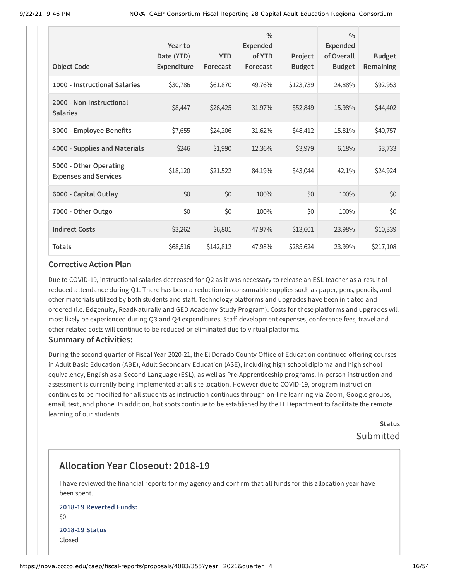|                                                        | Year to<br>Date (YTD) | <b>YTD</b> | $\frac{0}{0}$<br><b>Expended</b><br>of YTD | Project       | $\frac{0}{0}$<br><b>Expended</b><br>of Overall | <b>Budget</b>    |
|--------------------------------------------------------|-----------------------|------------|--------------------------------------------|---------------|------------------------------------------------|------------------|
| <b>Object Code</b>                                     | Expenditure           | Forecast   | Forecast                                   | <b>Budget</b> | <b>Budget</b>                                  | <b>Remaining</b> |
| 1000 - Instructional Salaries                          | \$30,786              | \$61,870   | 49.76%                                     | \$123,739     | 24.88%                                         | \$92,953         |
| 2000 - Non-Instructional<br><b>Salaries</b>            | \$8,447               | \$26,425   | 31.97%                                     | \$52,849      | 15.98%                                         | \$44,402         |
| 3000 - Employee Benefits                               | \$7,655               | \$24,206   | 31.62%                                     | \$48,412      | 15.81%                                         | \$40,757         |
| 4000 - Supplies and Materials                          | \$246                 | \$1,990    | 12.36%                                     | \$3,979       | 6.18%                                          | \$3,733          |
| 5000 - Other Operating<br><b>Expenses and Services</b> | \$18,120              | \$21,522   | 84.19%                                     | \$43,044      | 42.1%                                          | \$24,924         |
| 6000 - Capital Outlay                                  | \$0                   | \$0        | 100%                                       | \$0           | 100%                                           | \$0              |
| 7000 - Other Outgo                                     | \$0                   | \$0        | 100%                                       | \$0           | 100%                                           | \$0              |
| <b>Indirect Costs</b>                                  | \$3,262               | \$6,801    | 47.97%                                     | \$13,601      | 23.98%                                         | \$10,339         |
| <b>Totals</b>                                          | \$68,516              | \$142,812  | 47.98%                                     | \$285,624     | 23.99%                                         | \$217,108        |

Due to COVID-19, instructional salaries decreased for Q2 as it was necessary to release an ESL teacher as a result of reduced attendance during Q1. There has been a reduction in consumable supplies such as paper, pens, pencils, and other materials utilized by both students and staff. Technology platforms and upgrades have been initiated and ordered (i.e. Edgenuity, ReadNaturally and GED Academy Study Program). Costs for these platforms and upgrades will most likely be experienced during Q3 and Q4 expenditures. Staff development expenses, conference fees, travel and other related costs will continue to be reduced or eliminated due to virtual platforms.

#### **Summary of Activities:**

During the second quarter of Fiscal Year 2020-21, the El Dorado County Office of Education continued offering courses in Adult Basic Education (ABE), Adult Secondary Education (ASE), including high school diploma and high school equivalency, English as a Second Language (ESL), as well as Pre-Apprenticeship programs. In-person instruction and assessment is currently being implemented at all site location. However due to COVID-19, program instruction continues to be modified for all students as instruction continues through on-line learning via Zoom, Google groups, email, text, and phone. In addition, hot spots continue to be established by the IT Department to facilitate the remote learning of our students.

> **Status** Submitted

# **Allocation Year Closeout: 2018-19**

I have reviewed the financial reports for my agency and confirm that all funds for this allocation year have been spent.

#### **2018-19 Reverted Funds:** \$0

**2018-19 Status** Closed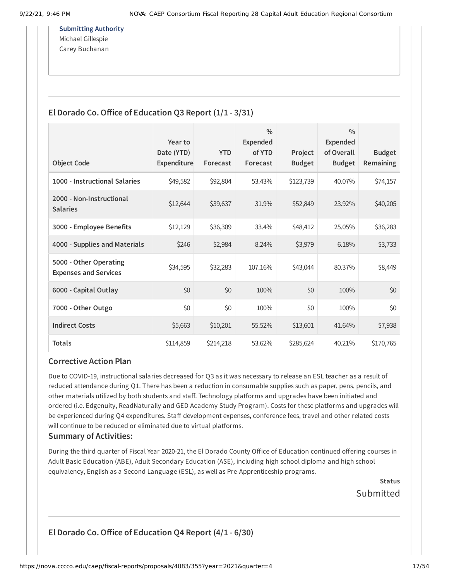**Submitting Authority** Michael Gillespie Carey Buchanan

### **El Dorado Co.Office of Education Q3 Report (1/1 - 3/31)**

|                                                        | Year to                   |                        | $\frac{0}{0}$<br>Expended |                          | $\frac{0}{0}$<br><b>Expended</b> |                            |
|--------------------------------------------------------|---------------------------|------------------------|---------------------------|--------------------------|----------------------------------|----------------------------|
| <b>Object Code</b>                                     | Date (YTD)<br>Expenditure | <b>YTD</b><br>Forecast | of YTD<br>Forecast        | Project<br><b>Budget</b> | of Overall<br><b>Budget</b>      | <b>Budget</b><br>Remaining |
| 1000 - Instructional Salaries                          | \$49,582                  | \$92,804               | 53.43%                    | \$123,739                | 40.07%                           | \$74,157                   |
| 2000 - Non-Instructional<br><b>Salaries</b>            | \$12,644                  | \$39,637               | 31.9%                     | \$52,849                 | 23.92%                           | \$40,205                   |
| 3000 - Employee Benefits                               | \$12,129                  | \$36,309               | 33.4%                     | \$48,412                 | 25.05%                           | \$36,283                   |
| 4000 - Supplies and Materials                          | \$246                     | \$2,984                | 8.24%                     | \$3,979                  | 6.18%                            | \$3,733                    |
| 5000 - Other Operating<br><b>Expenses and Services</b> | \$34,595                  | \$32,283               | 107.16%                   | \$43,044                 | 80.37%                           | \$8,449                    |
| 6000 - Capital Outlay                                  | \$0                       | \$0                    | 100%                      | \$0                      | 100%                             | \$0                        |
| 7000 - Other Outgo                                     | \$0                       | \$0                    | 100%                      | \$0                      | 100%                             | \$0                        |
| <b>Indirect Costs</b>                                  | \$5,663                   | \$10,201               | 55.52%                    | \$13,601                 | 41.64%                           | \$7,938                    |
| <b>Totals</b>                                          | \$114,859                 | \$214,218              | 53.62%                    | \$285,624                | 40.21%                           | \$170,765                  |

#### **Corrective Action Plan**

Due to COVID-19, instructional salaries decreased for Q3 as it was necessary to release an ESL teacher as a result of reduced attendance during Q1. There has been a reduction in consumable supplies such as paper, pens, pencils, and other materials utilized by both students and staff. Technology platforms and upgrades have been initiated and ordered (i.e. Edgenuity, ReadNaturally and GED Academy Study Program). Costs for these platforms and upgrades will be experienced during Q4 expenditures. Staff development expenses, conference fees, travel and other related costs will continue to be reduced or eliminated due to virtual platforms.

#### **Summary of Activities:**

During the third quarter of Fiscal Year 2020-21, the El Dorado County Office of Education continued offering courses in Adult Basic Education (ABE), Adult Secondary Education (ASE), including high school diploma and high school equivalency, English as a Second Language (ESL), as well as Pre-Apprenticeship programs.

**Status**

Submitted

**El Dorado Co.Office of Education Q4 Report (4/1 - 6/30)**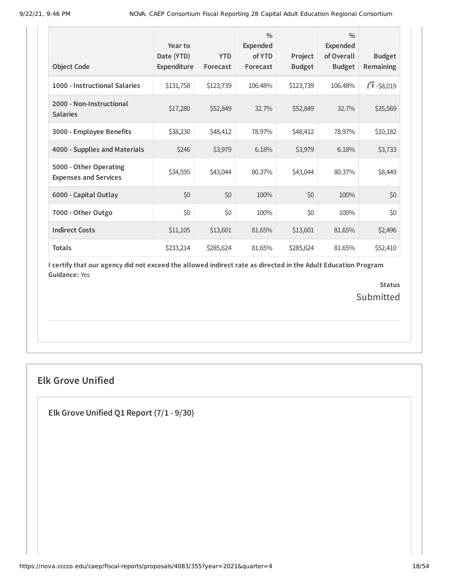| <b>Object Code</b>                                     | Year to<br>Date (YTD)<br>Expenditure | <b>YTD</b><br>Forecast | $\frac{0}{0}$<br>Expended<br>of YTD<br>Forecast | Project<br><b>Budget</b> | $\frac{0}{0}$<br>Expended<br>of Overall<br><b>Budget</b> | <b>Budget</b><br><b>Remaining</b> |
|--------------------------------------------------------|--------------------------------------|------------------------|-------------------------------------------------|--------------------------|----------------------------------------------------------|-----------------------------------|
| 1000 - Instructional Salaries                          | \$131,758                            | \$123,739              | 106.48%                                         | \$123,739                | 106.48%                                                  | $\sqrt{1} - $8,019$               |
| 2000 - Non-Instructional<br><b>Salaries</b>            | \$17,280                             | \$52,849               | 32.7%                                           | \$52,849                 | 32.7%                                                    | \$35,569                          |
| 3000 - Employee Benefits                               | \$38,230                             | \$48,412               | 78.97%                                          | \$48,412                 | 78.97%                                                   | \$10,182                          |
| 4000 - Supplies and Materials                          | \$246                                | \$3,979                | 6.18%                                           | \$3,979                  | 6.18%                                                    | \$3,733                           |
| 5000 - Other Operating<br><b>Expenses and Services</b> | \$34,595                             | \$43,044               | 80.37%                                          | \$43,044                 | 80.37%                                                   | \$8,449                           |
| 6000 - Capital Outlay                                  | \$0                                  | \$0                    | 100%                                            | \$0                      | 100%                                                     | \$0                               |
| 7000 - Other Outgo                                     | \$0                                  | \$0                    | 100%                                            | \$0                      | 100%                                                     | \$0                               |
| <b>Indirect Costs</b>                                  | \$11,105                             | \$13,601               | 81.65%                                          | \$13,601                 | 81.65%                                                   | \$2,496                           |
| <b>Totals</b>                                          | \$233,214                            | \$285,624              | 81.65%                                          | \$285,624                | 81.65%                                                   | \$52,410                          |

> **Status** Submitted

# **Elk Grove Unified**

**Elk Grove Unified Q1 Report (7/1 - 9/30)**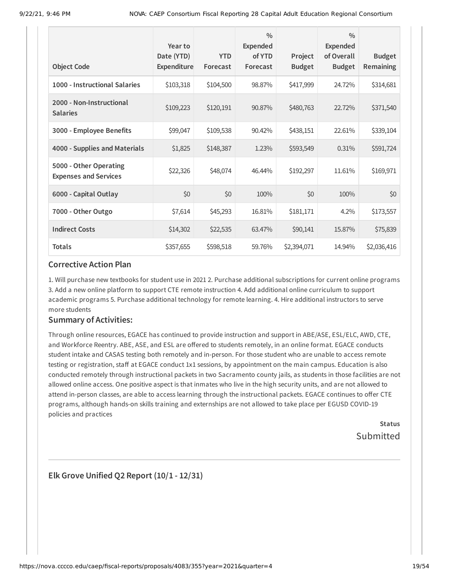| <b>Object Code</b>                                     | Year to<br>Date (YTD)<br>Expenditure | <b>YTD</b><br>Forecast | $\frac{0}{0}$<br><b>Expended</b><br>of YTD<br>Forecast | Project<br><b>Budget</b> | $\frac{0}{0}$<br><b>Expended</b><br>of Overall<br><b>Budget</b> | <b>Budget</b><br>Remaining |
|--------------------------------------------------------|--------------------------------------|------------------------|--------------------------------------------------------|--------------------------|-----------------------------------------------------------------|----------------------------|
|                                                        |                                      |                        |                                                        |                          |                                                                 |                            |
| 1000 - Instructional Salaries                          | \$103,318                            | \$104,500              | 98.87%                                                 | \$417,999                | 24.72%                                                          | \$314,681                  |
| 2000 - Non-Instructional<br><b>Salaries</b>            | \$109,223                            | \$120,191              | 90.87%                                                 | \$480,763                | 22.72%                                                          | \$371,540                  |
| 3000 - Employee Benefits                               | \$99,047                             | \$109,538              | 90.42%                                                 | \$438,151                | 22.61%                                                          | \$339,104                  |
| 4000 - Supplies and Materials                          | \$1,825                              | \$148,387              | 1.23%                                                  | \$593,549                | 0.31%                                                           | \$591,724                  |
| 5000 - Other Operating<br><b>Expenses and Services</b> | \$22,326                             | \$48,074               | 46.44%                                                 | \$192,297                | 11.61%                                                          | \$169,971                  |
| 6000 - Capital Outlay                                  | \$0                                  | \$0                    | 100%                                                   | \$0                      | 100%                                                            | \$0                        |
| 7000 - Other Outgo                                     | \$7,614                              | \$45,293               | 16.81%                                                 | \$181,171                | 4.2%                                                            | \$173,557                  |
| <b>Indirect Costs</b>                                  | \$14,302                             | \$22,535               | 63.47%                                                 | \$90,141                 | 15.87%                                                          | \$75,839                   |
| <b>Totals</b>                                          | \$357,655                            | \$598,518              | 59.76%                                                 | \$2,394,071              | 14.94%                                                          | \$2,036,416                |

1. Will purchase new textbooks for student use in 2021 2. Purchase additional subscriptions for current online programs 3. Add a new online platform to support CTE remote instruction 4. Add additional online curriculum to support academic programs 5. Purchase additional technology for remote learning. 4. Hire additional instructors to serve more students

#### **Summary of Activities:**

Through online resources, EGACE has continued to provide instruction and support in ABE/ASE, ESL/ELC, AWD, CTE, and Workforce Reentry. ABE, ASE, and ESL are offered to students remotely, in an online format. EGACE conducts student intake and CASAS testing both remotely and in-person. For those student who are unable to access remote testing or registration, staff at EGACE conduct 1x1 sessions, by appointment on the main campus. Education is also conducted remotely through instructional packets in two Sacramento county jails, as students in those facilities are not allowed online access. One positive aspect is that inmates who live in the high security units, and are not allowed to attend in-person classes, are able to access learning through the instructional packets. EGACE continues to offer CTE programs, although hands-on skills training and externships are not allowed to take place per EGUSD COVID-19 policies and practices

> **Status** Submitted

**Elk Grove Unified Q2 Report (10/1 - 12/31)**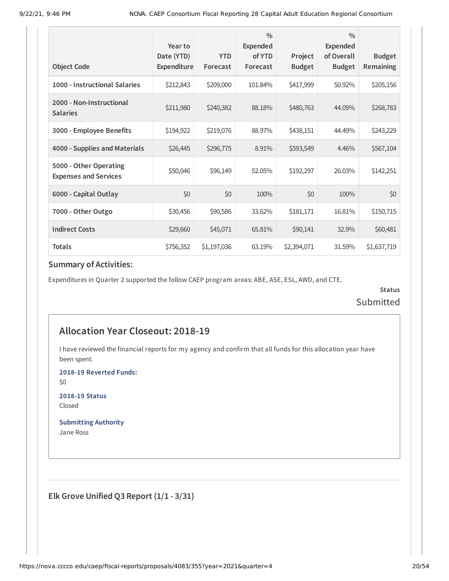| <b>Object Code</b>                                     | Year to<br>Date (YTD)<br>Expenditure | <b>YTD</b><br>Forecast | $\frac{0}{0}$<br><b>Expended</b><br>of YTD<br>Forecast | Project<br><b>Budget</b> | $\frac{0}{0}$<br><b>Expended</b><br>of Overall<br><b>Budget</b> | <b>Budget</b><br>Remaining |
|--------------------------------------------------------|--------------------------------------|------------------------|--------------------------------------------------------|--------------------------|-----------------------------------------------------------------|----------------------------|
| 1000 - Instructional Salaries                          | \$212,843                            | \$209,000              | 101.84%                                                | \$417,999                | 50.92%                                                          | \$205,156                  |
| 2000 - Non-Instructional<br><b>Salaries</b>            | \$211,980                            | \$240,382              | 88.18%                                                 | \$480,763                | 44.09%                                                          | \$268,783                  |
| 3000 - Employee Benefits                               | \$194,922                            | \$219,076              | 88.97%                                                 | \$438,151                | 44.49%                                                          | \$243,229                  |
| 4000 - Supplies and Materials                          | \$26,445                             | \$296,775              | 8.91%                                                  | \$593,549                | 4.46%                                                           | \$567,104                  |
| 5000 - Other Operating<br><b>Expenses and Services</b> | \$50,046                             | \$96,149               | 52.05%                                                 | \$192,297                | 26.03%                                                          | \$142,251                  |
| 6000 - Capital Outlay                                  | \$0                                  | \$0                    | 100%                                                   | \$0                      | 100%                                                            | \$0                        |
| 7000 - Other Outgo                                     | \$30,456                             | \$90,586               | 33.62%                                                 | \$181,171                | 16.81%                                                          | \$150,715                  |
| <b>Indirect Costs</b>                                  | \$29,660                             | \$45,071               | 65.81%                                                 | \$90,141                 | 32.9%                                                           | \$60,481                   |
| <b>Totals</b>                                          | \$756,352                            | \$1,197,036            | 63.19%                                                 | \$2,394,071              | 31.59%                                                          | \$1,637,719                |

Expenditures in Quarter 2 supported the follow CAEP program areas: ABE, ASE, ESL, AWD, and CTE.

**Status** Submitted

# **Allocation Year Closeout: 2018-19**

I have reviewed the financial reports for my agency and confirm that all funds for this allocation year have been spent.

**2018-19 Reverted Funds:**

\$0

**2018-19 Status** Closed

**Submitting Authority** Jane Ross

**Elk Grove Unified Q3 Report (1/1 - 3/31)**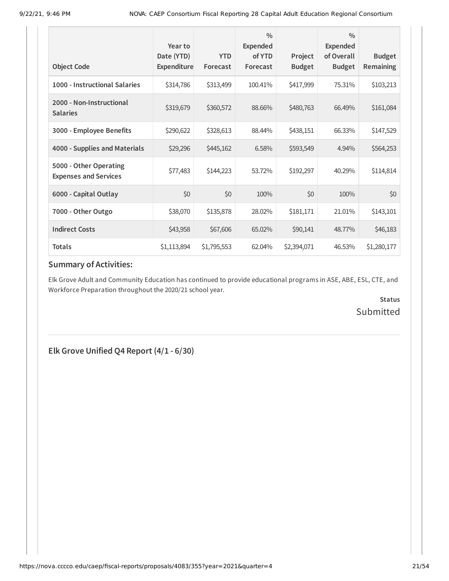| <b>Object Code</b>                                     | Year to<br>Date (YTD)<br><b>Expenditure</b> | <b>YTD</b><br>Forecast | $\frac{0}{0}$<br><b>Expended</b><br>of YTD<br>Forecast | Project<br><b>Budget</b> | $\frac{0}{0}$<br><b>Expended</b><br>of Overall<br><b>Budget</b> | <b>Budget</b><br>Remaining |
|--------------------------------------------------------|---------------------------------------------|------------------------|--------------------------------------------------------|--------------------------|-----------------------------------------------------------------|----------------------------|
| 1000 - Instructional Salaries                          | \$314,786                                   | \$313,499              | 100.41%                                                | \$417,999                | 75.31%                                                          | \$103,213                  |
| 2000 - Non-Instructional<br><b>Salaries</b>            | \$319,679                                   | \$360,572              | 88.66%                                                 | \$480,763                | 66.49%                                                          | \$161,084                  |
| 3000 - Employee Benefits                               | \$290,622                                   | \$328,613              | 88.44%                                                 | \$438,151                | 66.33%                                                          | \$147,529                  |
| 4000 - Supplies and Materials                          | \$29,296                                    | \$445,162              | 6.58%                                                  | \$593,549                | 4.94%                                                           | \$564,253                  |
| 5000 - Other Operating<br><b>Expenses and Services</b> | \$77,483                                    | \$144,223              | 53.72%                                                 | \$192,297                | 40.29%                                                          | \$114,814                  |
| 6000 - Capital Outlay                                  | \$0                                         | \$0                    | 100%                                                   | \$0                      | 100%                                                            | \$0                        |
| 7000 - Other Outgo                                     | \$38,070                                    | \$135,878              | 28.02%                                                 | \$181,171                | 21.01%                                                          | \$143,101                  |
| <b>Indirect Costs</b>                                  | \$43,958                                    | \$67,606               | 65.02%                                                 | \$90,141                 | 48.77%                                                          | \$46,183                   |
| <b>Totals</b>                                          | \$1,113,894                                 | \$1,795,553            | 62.04%                                                 | \$2,394,071              | 46.53%                                                          | \$1,280,177                |

Elk Grove Adult and Community Education has continued to provide educational programs in ASE, ABE, ESL, CTE, and Workforce Preparation throughout the 2020/21 school year.

> **Status** Submitted

**Elk Grove Unified Q4 Report (4/1 - 6/30)**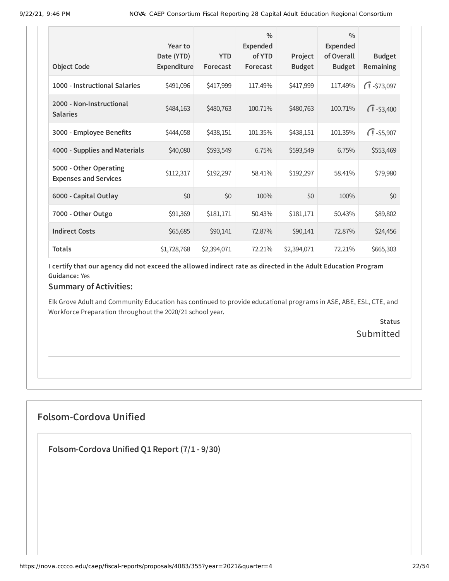| <b>Object Code</b>                                     | Year to<br>Date (YTD)<br>Expenditure | <b>YTD</b><br>Forecast | $\frac{0}{0}$<br><b>Expended</b><br>of YTD<br>Forecast | Project<br><b>Budget</b> | $\frac{0}{0}$<br><b>Expended</b><br>of Overall<br><b>Budget</b> | <b>Budget</b><br><b>Remaining</b> |
|--------------------------------------------------------|--------------------------------------|------------------------|--------------------------------------------------------|--------------------------|-----------------------------------------------------------------|-----------------------------------|
| 1000 - Instructional Salaries                          | \$491,096                            | \$417,999              | 117.49%                                                | \$417,999                | 117.49%                                                         | $\sqrt{1} - $73,097$              |
| 2000 - Non-Instructional<br><b>Salaries</b>            | \$484,163                            | \$480,763              | 100.71%                                                | \$480,763                | 100.71%                                                         | $\sqrt{1} - $3,400$               |
| 3000 - Employee Benefits                               | \$444,058                            | \$438,151              | 101.35%                                                | \$438,151                | 101.35%                                                         | $\sqrt{1} - $5,907$               |
| 4000 - Supplies and Materials                          | \$40,080                             | \$593,549              | 6.75%                                                  | \$593,549                | 6.75%                                                           | \$553,469                         |
| 5000 - Other Operating<br><b>Expenses and Services</b> | \$112,317                            | \$192,297              | 58.41%                                                 | \$192,297                | 58.41%                                                          | \$79,980                          |
| 6000 - Capital Outlay                                  | \$0                                  | \$0                    | 100%                                                   | \$0                      | 100%                                                            | \$0                               |
| 7000 - Other Outgo                                     | \$91,369                             | \$181,171              | 50.43%                                                 | \$181,171                | 50.43%                                                          | \$89,802                          |
| <b>Indirect Costs</b>                                  | \$65,685                             | \$90,141               | 72.87%                                                 | \$90,141                 | 72.87%                                                          | \$24,456                          |
| <b>Totals</b>                                          | \$1,728,768                          | \$2,394,071            | 72.21%                                                 | \$2,394,071              | 72.21%                                                          | \$665,303                         |

#### **Summary of Activities:**

Elk Grove Adult and Community Education has continued to provide educational programs in ASE, ABE, ESL, CTE, and Workforce Preparation throughout the 2020/21 school year.

> **Status** Submitted

# **Folsom-Cordova Unified**

**Folsom-Cordova Unified Q1 Report (7/1 - 9/30)**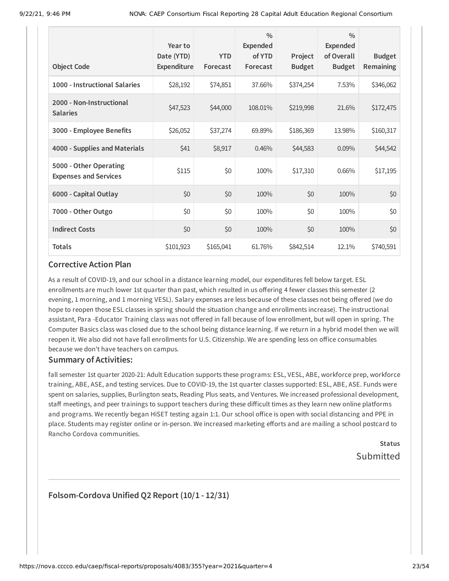| <b>Object Code</b>                                     | Year to<br>Date (YTD)<br>Expenditure | <b>YTD</b><br>Forecast | $\frac{0}{0}$<br><b>Expended</b><br>of YTD<br>Forecast | Project<br><b>Budget</b> | $\frac{0}{0}$<br><b>Expended</b><br>of Overall<br><b>Budget</b> | <b>Budget</b><br>Remaining |
|--------------------------------------------------------|--------------------------------------|------------------------|--------------------------------------------------------|--------------------------|-----------------------------------------------------------------|----------------------------|
| 1000 - Instructional Salaries                          | \$28,192                             | \$74,851               | 37.66%                                                 | \$374,254                | 7.53%                                                           | \$346,062                  |
| 2000 - Non-Instructional<br><b>Salaries</b>            | \$47,523                             | \$44,000               | 108.01%                                                | \$219,998                | 21.6%                                                           | \$172,475                  |
| 3000 - Employee Benefits                               | \$26,052                             | \$37,274               | 69.89%                                                 | \$186,369                | 13.98%                                                          | \$160,317                  |
| 4000 - Supplies and Materials                          | \$41                                 | \$8,917                | 0.46%                                                  | \$44,583                 | 0.09%                                                           | \$44,542                   |
| 5000 - Other Operating<br><b>Expenses and Services</b> | \$115                                | \$0                    | 100%                                                   | \$17,310                 | 0.66%                                                           | \$17,195                   |
| 6000 - Capital Outlay                                  | \$0                                  | \$0                    | 100%                                                   | \$0                      | 100%                                                            | \$0                        |
| 7000 - Other Outgo                                     | \$0                                  | \$0                    | 100%                                                   | \$0                      | 100%                                                            | \$0                        |
| <b>Indirect Costs</b>                                  | \$0                                  | \$0                    | 100%                                                   | \$0                      | 100%                                                            | \$0                        |
| <b>Totals</b>                                          | \$101,923                            | \$165,041              | 61.76%                                                 | \$842,514                | 12.1%                                                           | \$740,591                  |

As a result of COVID-19, and our school in a distance learning model, our expenditures fell below target. ESL enrollments are much lower 1st quarter than past, which resulted in us offering 4 fewer classes this semester (2 evening, 1 morning, and 1 morning VESL). Salary expenses are less because of these classes not being offered (we do hope to reopen those ESL classes in spring should the situation change and enrollments increase). The instructional assistant, Para -Educator Training class was not offered in fall because of low enrollment, but will open in spring. The Computer Basics class was closed due to the school being distance learning. If we return in a hybrid model then we will reopen it. We also did not have fall enrollments for U.S. Citizenship. We are spending less on office consumables because we don't have teachers on campus.

#### **Summary of Activities:**

fall semester 1st quarter 2020-21: Adult Education supports these programs: ESL, VESL, ABE, workforce prep, workforce training, ABE, ASE, and testing services. Due to COVID-19, the 1st quarter classes supported: ESL, ABE, ASE. Funds were spent on salaries, supplies, Burlington seats, Reading Plus seats, and Ventures. We increased professional development, staff meetings, and peer trainings to support teachers during these difficult times as they learn new online platforms and programs. We recently began HiSET testing again 1:1. Our school office is open with social distancing and PPE in place. Students may register online or in-person. We increased marketing efforts and are mailing a school postcard to Rancho Cordova communities.

# **Status** Submitted

### **Folsom-Cordova Unified Q2 Report (10/1 - 12/31)**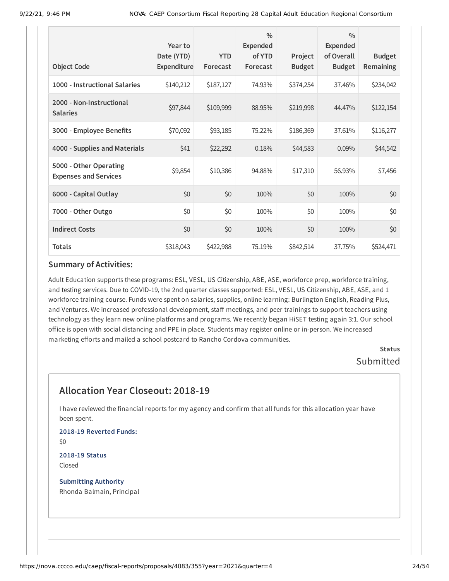| <b>Object Code</b>                                     | Year to<br>Date (YTD)<br><b>Expenditure</b> | <b>YTD</b><br>Forecast | $\frac{0}{0}$<br><b>Expended</b><br>of YTD<br>Forecast | Project<br><b>Budget</b> | $\frac{0}{0}$<br><b>Expended</b><br>of Overall<br><b>Budget</b> | <b>Budget</b><br>Remaining |
|--------------------------------------------------------|---------------------------------------------|------------------------|--------------------------------------------------------|--------------------------|-----------------------------------------------------------------|----------------------------|
|                                                        |                                             |                        |                                                        |                          |                                                                 |                            |
| 1000 - Instructional Salaries                          | \$140,212                                   | \$187,127              | 74.93%                                                 | \$374,254                | 37.46%                                                          | \$234,042                  |
| 2000 - Non-Instructional<br><b>Salaries</b>            | \$97,844                                    | \$109,999              | 88.95%                                                 | \$219,998                | 44,47%                                                          | \$122,154                  |
| 3000 - Employee Benefits                               | \$70,092                                    | \$93,185               | 75.22%                                                 | \$186,369                | 37.61%                                                          | \$116,277                  |
| 4000 - Supplies and Materials                          | \$41                                        | \$22,292               | 0.18%                                                  | \$44,583                 | $0.09\%$                                                        | \$44,542                   |
| 5000 - Other Operating<br><b>Expenses and Services</b> | \$9,854                                     | \$10,386               | 94.88%                                                 | \$17,310                 | 56.93%                                                          | \$7,456                    |
| 6000 - Capital Outlay                                  | \$0                                         | \$0                    | 100%                                                   | \$0                      | 100%                                                            | \$0                        |
| 7000 - Other Outgo                                     | \$0                                         | \$0                    | 100%                                                   | \$0                      | 100%                                                            | \$0                        |
| <b>Indirect Costs</b>                                  | \$0                                         | \$0                    | 100%                                                   | \$0                      | 100%                                                            | \$0                        |
| <b>Totals</b>                                          | \$318,043                                   | \$422,988              | 75.19%                                                 | \$842,514                | 37.75%                                                          | \$524,471                  |

Adult Education supports these programs: ESL, VESL, US Citizenship, ABE, ASE, workforce prep, workforce training, and testing services. Due to COVID-19, the 2nd quarter classes supported: ESL, VESL, US Citizenship, ABE, ASE, and 1 workforce training course. Funds were spent on salaries, supplies, online learning: Burlington English, Reading Plus, and Ventures. We increased professional development, staff meetings, and peer trainings to support teachers using technology as they learn new online platforms and programs. We recently began HiSET testing again 3:1. Our school office is open with social distancing and PPE in place. Students may register online or in-person. We increased marketing efforts and mailed a school postcard to Rancho Cordova communities.

> **Status** Submitted

# **Allocation Year Closeout: 2018-19**

I have reviewed the financial reports for my agency and confirm that all funds for this allocation year have been spent.

**2018-19 Reverted Funds:** \$0

**2018-19 Status** Closed

**Submitting Authority** Rhonda Balmain, Principal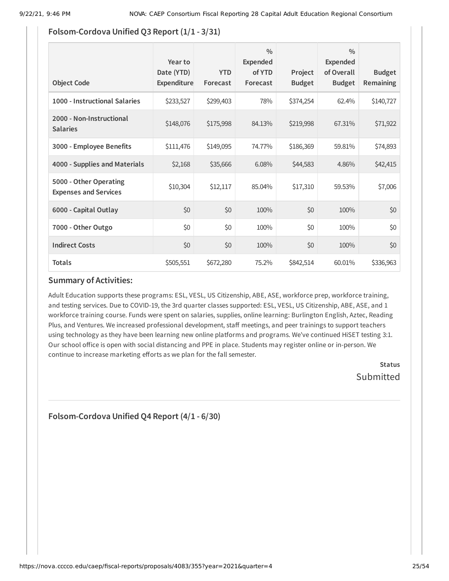## **Folsom-Cordova Unified Q3 Report (1/1 - 3/31)**

| <b>Object Code</b>                                     | Year to<br>Date (YTD)<br>Expenditure | <b>YTD</b><br>Forecast | $\frac{0}{0}$<br><b>Expended</b><br>of YTD<br>Forecast | Project<br><b>Budget</b> | $\frac{0}{0}$<br><b>Expended</b><br>of Overall<br><b>Budget</b> | <b>Budget</b><br><b>Remaining</b> |
|--------------------------------------------------------|--------------------------------------|------------------------|--------------------------------------------------------|--------------------------|-----------------------------------------------------------------|-----------------------------------|
| 1000 - Instructional Salaries                          | \$233,527                            | \$299,403              | 78%                                                    | \$374,254                | 62.4%                                                           | \$140,727                         |
| 2000 - Non-Instructional<br><b>Salaries</b>            | \$148,076                            | \$175,998              | 84.13%                                                 | \$219,998                | 67.31%                                                          | \$71,922                          |
| 3000 - Employee Benefits                               | \$111,476                            | \$149,095              | 74.77%                                                 | \$186,369                | 59.81%                                                          | \$74,893                          |
| 4000 - Supplies and Materials                          | \$2,168                              | \$35,666               | 6.08%                                                  | \$44,583                 | 4.86%                                                           | \$42,415                          |
| 5000 - Other Operating<br><b>Expenses and Services</b> | \$10,304                             | \$12,117               | 85.04%                                                 | \$17,310                 | 59.53%                                                          | \$7,006                           |
| 6000 - Capital Outlay                                  | \$0                                  | \$0                    | 100%                                                   | \$0                      | 100%                                                            | \$0                               |
| 7000 - Other Outgo                                     | \$0                                  | \$0                    | 100%                                                   | \$0                      | 100%                                                            | \$0                               |
| <b>Indirect Costs</b>                                  | \$0                                  | \$0                    | 100%                                                   | \$0                      | 100%                                                            | \$0                               |
| <b>Totals</b>                                          | \$505,551                            | \$672,280              | 75.2%                                                  | \$842,514                | 60.01%                                                          | \$336,963                         |

#### **Summary of Activities:**

Adult Education supports these programs: ESL, VESL, US Citizenship, ABE, ASE, workforce prep, workforce training, and testing services. Due to COVID-19, the 3rd quarter classes supported: ESL, VESL, US Citizenship, ABE, ASE, and 1 workforce training course. Funds were spent on salaries, supplies, online learning: Burlington English, Aztec, Reading Plus, and Ventures. We increased professional development, staff meetings, and peer trainings to support teachers using technology as they have been learning new online platforms and programs. We've continued HiSET testing 3:1. Our school office is open with social distancing and PPE in place. Students may register online or in-person. We continue to increase marketing efforts as we plan for the fall semester.

> **Status** Submitted

**Folsom-Cordova Unified Q4 Report (4/1 - 6/30)**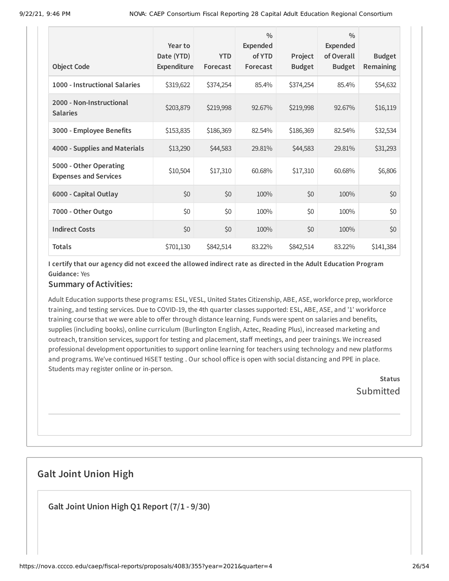|                                                        | Year to<br>Date (YTD) | <b>YTD</b> | $\frac{0}{0}$<br><b>Expended</b><br>of YTD | Project       | $\frac{0}{0}$<br><b>Expended</b><br>of Overall | <b>Budget</b>    |
|--------------------------------------------------------|-----------------------|------------|--------------------------------------------|---------------|------------------------------------------------|------------------|
| <b>Object Code</b>                                     | Expenditure           | Forecast   | Forecast                                   | <b>Budget</b> | <b>Budget</b>                                  | <b>Remaining</b> |
| 1000 - Instructional Salaries                          | \$319,622             | \$374,254  | 85.4%                                      | \$374,254     | 85.4%                                          | \$54,632         |
| 2000 - Non-Instructional<br><b>Salaries</b>            | \$203,879             | \$219,998  | 92.67%                                     | \$219,998     | 92.67%                                         | \$16,119         |
| 3000 - Employee Benefits                               | \$153,835             | \$186,369  | 82.54%                                     | \$186,369     | 82.54%                                         | \$32,534         |
| 4000 - Supplies and Materials                          | \$13,290              | \$44,583   | 29.81%                                     | \$44,583      | 29.81%                                         | \$31,293         |
| 5000 - Other Operating<br><b>Expenses and Services</b> | \$10,504              | \$17,310   | 60.68%                                     | \$17,310      | 60.68%                                         | \$6,806          |
| 6000 - Capital Outlay                                  | \$0                   | \$0        | 100%                                       | \$0           | 100%                                           | \$0              |
| 7000 - Other Outgo                                     | \$0                   | \$0        | 100%                                       | \$0           | 100%                                           | \$0              |
| <b>Indirect Costs</b>                                  | \$0                   | \$0        | 100%                                       | \$0           | 100%                                           | \$0              |
| <b>Totals</b>                                          | \$701,130             | \$842,514  | 83.22%                                     | \$842,514     | 83.22%                                         | \$141,384        |

### **Summary of Activities:**

Adult Education supports these programs: ESL, VESL, United States Citizenship, ABE, ASE, workforce prep, workforce training, and testing services. Due to COVID-19, the 4th quarter classes supported: ESL, ABE, ASE, and '1' workforce training course that we were able to offer through distance learning. Funds were spent on salaries and benefits, supplies (including books), online curriculum (Burlington English, Aztec, Reading Plus), increased marketing and outreach, transition services, support for testing and placement, staff meetings, and peer trainings. We increased professional development opportunities to support online learning for teachers using technology and new platforms and programs. We've continued HiSET testing . Our school office is open with social distancing and PPE in place. Students may register online or in-person.

> **Status Submitted**

# **Galt Joint Union High**

**Galt Joint Union High Q1 Report (7/1 - 9/30)**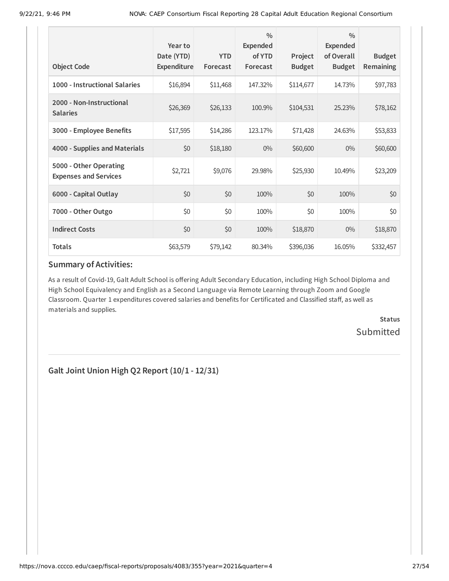| <b>Object Code</b>                                     | Year to<br>Date (YTD)<br><b>Expenditure</b> | <b>YTD</b><br>Forecast | $\frac{0}{0}$<br>Expended<br>of YTD<br>Forecast | Project<br><b>Budget</b> | $\frac{0}{0}$<br><b>Expended</b><br>of Overall<br><b>Budget</b> | <b>Budget</b><br><b>Remaining</b> |
|--------------------------------------------------------|---------------------------------------------|------------------------|-------------------------------------------------|--------------------------|-----------------------------------------------------------------|-----------------------------------|
| 1000 - Instructional Salaries                          | \$16,894                                    | \$11,468               | 147.32%                                         | \$114,677                | 14.73%                                                          | \$97,783                          |
| 2000 - Non-Instructional<br><b>Salaries</b>            | \$26,369                                    | \$26,133               | 100.9%                                          | \$104,531                | 25.23%                                                          | \$78,162                          |
| 3000 - Employee Benefits                               | \$17,595                                    | \$14,286               | 123.17%                                         | \$71,428                 | 24.63%                                                          | \$53,833                          |
| 4000 - Supplies and Materials                          | \$0                                         | \$18,180               | $0\%$                                           | \$60,600                 | $0\%$                                                           | \$60,600                          |
| 5000 - Other Operating<br><b>Expenses and Services</b> | \$2,721                                     | \$9,076                | 29.98%                                          | \$25,930                 | 10.49%                                                          | \$23,209                          |
| 6000 - Capital Outlay                                  | \$0                                         | \$0                    | 100%                                            | \$0                      | 100%                                                            | \$0                               |
| 7000 - Other Outgo                                     | \$0                                         | \$0                    | 100%                                            | \$0                      | 100%                                                            | \$0                               |
| <b>Indirect Costs</b>                                  | \$0                                         | \$0                    | 100%                                            | \$18,870                 | $0\%$                                                           | \$18,870                          |
| <b>Totals</b>                                          | \$63,579                                    | \$79,142               | 80.34%                                          | \$396,036                | 16.05%                                                          | \$332,457                         |

As a result of Covid-19, Galt Adult School is offering Adult Secondary Education, including High School Diploma and High School Equivalency and English as a Second Language via Remote Learning through Zoom and Google Classroom. Quarter 1 expenditures covered salaries and benefits for Certificated and Classified staff, as well as materials and supplies.

> **Status Submitted**

**Galt Joint Union High Q2 Report (10/1 - 12/31)**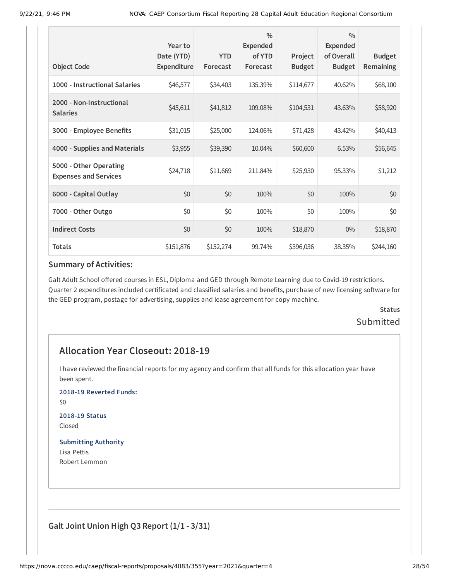| <b>Object Code</b>                                     | Year to<br>Date (YTD)<br><b>Expenditure</b> | <b>YTD</b><br>Forecast | $\frac{0}{0}$<br><b>Expended</b><br>of YTD<br>Forecast | Project<br><b>Budget</b> | $\frac{0}{0}$<br><b>Expended</b><br>of Overall<br><b>Budget</b> | <b>Budget</b><br><b>Remaining</b> |
|--------------------------------------------------------|---------------------------------------------|------------------------|--------------------------------------------------------|--------------------------|-----------------------------------------------------------------|-----------------------------------|
| 1000 - Instructional Salaries                          | \$46,577                                    | \$34,403               | 135.39%                                                | \$114,677                | 40.62%                                                          | \$68,100                          |
| 2000 - Non-Instructional<br><b>Salaries</b>            | \$45,611                                    | \$41,812               | 109.08%                                                | \$104,531                | 43.63%                                                          | \$58,920                          |
| 3000 - Employee Benefits                               | \$31,015                                    | \$25,000               | 124.06%                                                | \$71,428                 | 43.42%                                                          | \$40,413                          |
| 4000 - Supplies and Materials                          | \$3,955                                     | \$39,390               | 10.04%                                                 | \$60,600                 | 6.53%                                                           | \$56,645                          |
| 5000 - Other Operating<br><b>Expenses and Services</b> | \$24,718                                    | \$11,669               | 211.84%                                                | \$25,930                 | 95.33%                                                          | \$1,212                           |
| 6000 - Capital Outlay                                  | \$0                                         | \$0                    | 100%                                                   | \$0                      | 100%                                                            | \$0                               |
| 7000 - Other Outgo                                     | \$0                                         | \$0                    | 100%                                                   | \$0                      | 100%                                                            | \$0                               |
| <b>Indirect Costs</b>                                  | \$0                                         | \$0                    | 100%                                                   | \$18,870                 | $0\%$                                                           | \$18,870                          |
| <b>Totals</b>                                          | \$151,876                                   | \$152,274              | 99.74%                                                 | \$396,036                | 38.35%                                                          | \$244,160                         |

Galt Adult School offered courses in ESL, Diploma and GED through Remote Learning due to Covid-19 restrictions. Quarter 2 expenditures included certificated and classified salaries and benefits, purchase of new licensing software for the GED program, postage for advertising, supplies and lease agreement for copy machine.

# **Status Submitted**

# **Allocation Year Closeout: 2018-19**

I have reviewed the financial reports for my agency and confirm that all funds for this allocation year have been spent.

**2018-19 Reverted Funds:**

\$0

**2018-19 Status** Closed

#### **Submitting Authority**

Lisa Pettis Robert Lemmon

**Galt Joint Union High Q3 Report (1/1 - 3/31)**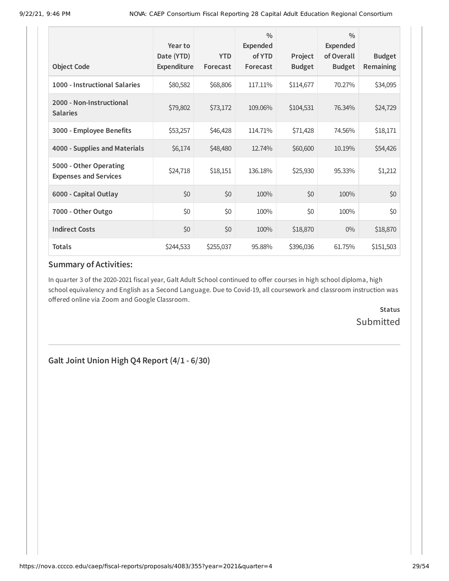| <b>Object Code</b>                                     | Year to<br>Date (YTD)<br>Expenditure | <b>YTD</b><br>Forecast | $\frac{0}{0}$<br>Expended<br>of YTD<br>Forecast | Project<br><b>Budget</b> | $\frac{0}{0}$<br>Expended<br>of Overall<br><b>Budget</b> | <b>Budget</b><br><b>Remaining</b> |
|--------------------------------------------------------|--------------------------------------|------------------------|-------------------------------------------------|--------------------------|----------------------------------------------------------|-----------------------------------|
| 1000 - Instructional Salaries                          | \$80,582                             | \$68,806               | 117.11%                                         | \$114,677                | 70.27%                                                   | \$34,095                          |
| 2000 - Non-Instructional<br><b>Salaries</b>            | \$79,802                             | \$73,172               | 109.06%                                         | \$104,531                | 76.34%                                                   | \$24,729                          |
| 3000 - Employee Benefits                               | \$53,257                             | \$46,428               | 114.71%                                         | \$71,428                 | 74.56%                                                   | \$18,171                          |
| 4000 - Supplies and Materials                          | \$6,174                              | \$48,480               | 12.74%                                          | \$60,600                 | 10.19%                                                   | \$54,426                          |
| 5000 - Other Operating<br><b>Expenses and Services</b> | \$24,718                             | \$18,151               | 136.18%                                         | \$25,930                 | 95.33%                                                   | \$1,212                           |
| 6000 - Capital Outlay                                  | \$0                                  | \$0                    | 100%                                            | \$0                      | 100%                                                     | \$0                               |
| 7000 - Other Outgo                                     | \$0                                  | \$0                    | 100%                                            | \$0                      | 100%                                                     | \$0                               |
| <b>Indirect Costs</b>                                  | \$0                                  | \$0                    | 100%                                            | \$18,870                 | $0\%$                                                    | \$18,870                          |
| <b>Totals</b>                                          | \$244,533                            | \$255,037              | 95.88%                                          | \$396,036                | 61.75%                                                   | \$151,503                         |

In quarter 3 of the 2020-2021 fiscal year, Galt Adult School continued to offer courses in high school diploma, high school equivalency and English as a Second Language. Due to Covid-19, all coursework and classroom instruction was offered online via Zoom and Google Classroom.

> **Status** Submitted

**Galt Joint Union High Q4 Report (4/1 - 6/30)**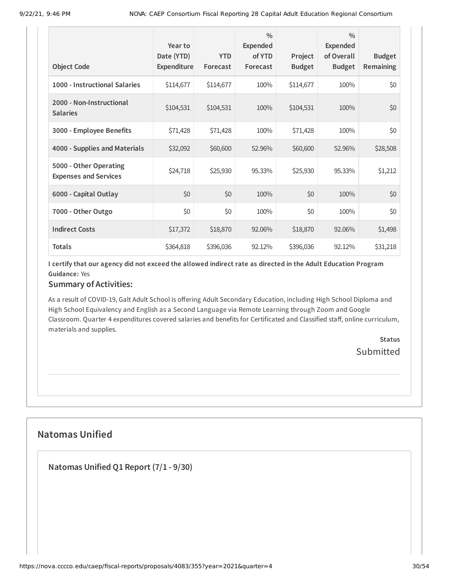| <b>Object Code</b>                                     | Year to<br>Date (YTD)<br><b>Expenditure</b> | <b>YTD</b><br>Forecast | $\frac{0}{0}$<br><b>Expended</b><br>of YTD<br>Forecast | Project<br><b>Budget</b> | $\frac{0}{0}$<br>Expended<br>of Overall<br><b>Budget</b> | <b>Budget</b><br><b>Remaining</b> |
|--------------------------------------------------------|---------------------------------------------|------------------------|--------------------------------------------------------|--------------------------|----------------------------------------------------------|-----------------------------------|
| 1000 - Instructional Salaries                          | \$114,677                                   | \$114,677              | 100%                                                   | \$114,677                | 100%                                                     | \$0                               |
| 2000 - Non-Instructional<br><b>Salaries</b>            | \$104,531                                   | \$104,531              | 100%                                                   | \$104,531                | 100%                                                     | \$0                               |
| 3000 - Employee Benefits                               | \$71,428                                    | \$71,428               | 100%                                                   | \$71,428                 | 100%                                                     | \$0                               |
| 4000 - Supplies and Materials                          | \$32,092                                    | \$60,600               | 52.96%                                                 | \$60,600                 | 52.96%                                                   | \$28,508                          |
| 5000 - Other Operating<br><b>Expenses and Services</b> | \$24,718                                    | \$25,930               | 95.33%                                                 | \$25,930                 | 95.33%                                                   | \$1,212                           |
| 6000 - Capital Outlay                                  | \$0                                         | \$0                    | 100%                                                   | \$0                      | 100%                                                     | \$0                               |
| 7000 - Other Outgo                                     | \$0                                         | \$0                    | 100%                                                   | \$0                      | 100%                                                     | \$0                               |
| <b>Indirect Costs</b>                                  | \$17,372                                    | \$18,870               | 92.06%                                                 | \$18,870                 | 92.06%                                                   | \$1,498                           |
| <b>Totals</b>                                          | \$364,818                                   | \$396,036              | 92.12%                                                 | \$396,036                | 92.12%                                                   | \$31,218                          |

### **Summary of Activities:**

As a result of COVID-19, Galt Adult School is offering Adult Secondary Education, including High School Diploma and High School Equivalency and English as a Second Language via Remote Learning through Zoom and Google Classroom. Quarter 4 expenditures covered salaries and benefits for Certificated and Classified staff, online curriculum, materials and supplies.

> **Status Submitted**

# **Natomas Unified**

**Natomas Unified Q1 Report (7/1 - 9/30)**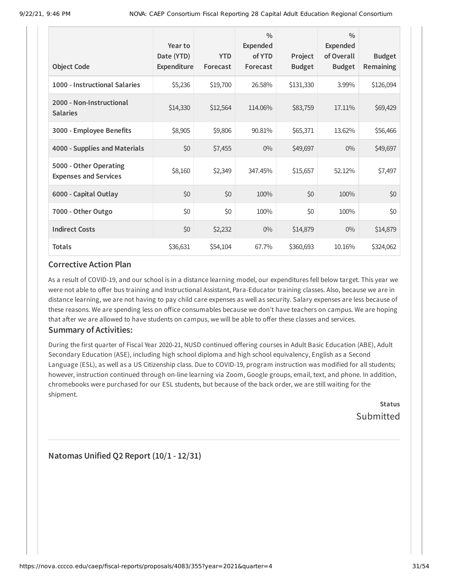| <b>Object Code</b>                                     | Year to<br>Date (YTD)<br>Expenditure | <b>YTD</b><br>Forecast | $\frac{0}{0}$<br><b>Expended</b><br>of YTD<br>Forecast | Project<br><b>Budget</b> | $\frac{0}{0}$<br><b>Expended</b><br>of Overall<br><b>Budget</b> | <b>Budget</b><br><b>Remaining</b> |
|--------------------------------------------------------|--------------------------------------|------------------------|--------------------------------------------------------|--------------------------|-----------------------------------------------------------------|-----------------------------------|
|                                                        |                                      |                        |                                                        |                          |                                                                 |                                   |
| 1000 - Instructional Salaries                          | \$5,236                              | \$19,700               | 26.58%                                                 | \$131,330                | 3.99%                                                           | \$126,094                         |
| 2000 - Non-Instructional<br><b>Salaries</b>            | \$14,330                             | \$12,564               | 114.06%                                                | \$83,759                 | 17.11%                                                          | \$69,429                          |
| 3000 - Employee Benefits                               | \$8,905                              | \$9,806                | 90.81%                                                 | \$65,371                 | 13.62%                                                          | \$56,466                          |
| 4000 - Supplies and Materials                          | \$0                                  | \$7,455                | $0\%$                                                  | \$49,697                 | $0\%$                                                           | \$49,697                          |
| 5000 - Other Operating<br><b>Expenses and Services</b> | \$8,160                              | \$2,349                | 347.45%                                                | \$15,657                 | 52.12%                                                          | \$7,497                           |
| 6000 - Capital Outlay                                  | \$0                                  | \$0                    | 100%                                                   | \$0                      | 100%                                                            | \$0                               |
| 7000 - Other Outgo                                     | \$0                                  | \$0                    | 100%                                                   | \$0                      | 100%                                                            | \$0                               |
| <b>Indirect Costs</b>                                  | \$0                                  | \$2,232                | $0\%$                                                  | \$14,879                 | $0\%$                                                           | \$14,879                          |
| <b>Totals</b>                                          | \$36,631                             | \$54,104               | 67.7%                                                  | \$360,693                | 10.16%                                                          | \$324,062                         |

As a result of COVID-19, and our school is in a distance learning model, our expenditures fell below target. This year we were not able to offer bus training and Instructional Assistant, Para-Educator training classes. Also, because we are in distance learning, we are not having to pay child care expenses as well as security. Salary expenses are less because of these reasons. We are spending less on office consumables because we don't have teachers on campus. We are hoping that after we are allowed to have students on campus, we will be able to offer these classes and services.

### **Summary of Activities:**

During the first quarter of Fiscal Year 2020-21, NUSD continued offering courses in Adult Basic Education (ABE), Adult Secondary Education (ASE), including high school diploma and high school equivalency, English as a Second Language (ESL), as well as a US Citizenship class. Due to COVID-19, program instruction was modified for all students; however, instruction continued through on-line learning via Zoom, Google groups, email, text, and phone. In addition, chromebooks were purchased for our ESL students, but because of the back order, we are still waiting for the shipment.

> **Status** Submitted

**Natomas Unified Q2 Report (10/1 - 12/31)**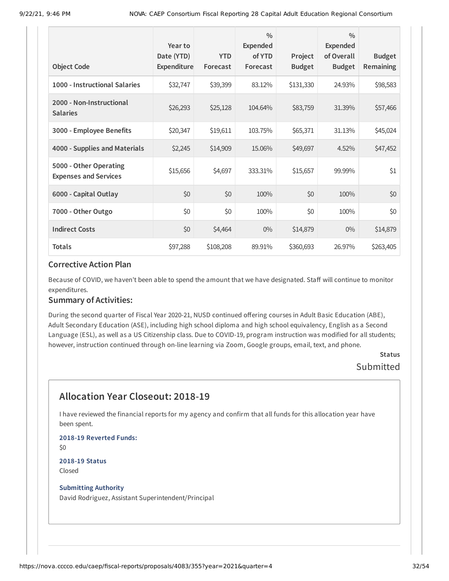|                                                        | Year to                   |                        | $\frac{0}{0}$<br><b>Expended</b> |                          | $\frac{0}{0}$<br>Expended   |                                   |
|--------------------------------------------------------|---------------------------|------------------------|----------------------------------|--------------------------|-----------------------------|-----------------------------------|
| <b>Object Code</b>                                     | Date (YTD)<br>Expenditure | <b>YTD</b><br>Forecast | of YTD<br>Forecast               | Project<br><b>Budget</b> | of Overall<br><b>Budget</b> | <b>Budget</b><br><b>Remaining</b> |
| 1000 - Instructional Salaries                          | \$32,747                  | \$39,399               | 83.12%                           | \$131,330                | 24.93%                      | \$98,583                          |
| 2000 - Non-Instructional<br><b>Salaries</b>            | \$26,293                  | \$25,128               | 104.64%                          | \$83,759                 | 31.39%                      | \$57,466                          |
| 3000 - Employee Benefits                               | \$20,347                  | \$19,611               | 103.75%                          | \$65,371                 | 31.13%                      | \$45,024                          |
| 4000 - Supplies and Materials                          | \$2,245                   | \$14,909               | 15.06%                           | \$49,697                 | 4.52%                       | \$47,452                          |
| 5000 - Other Operating<br><b>Expenses and Services</b> | \$15,656                  | \$4,697                | 333.31%                          | \$15,657                 | 99.99%                      | \$1                               |
| 6000 - Capital Outlay                                  | \$0                       | \$0                    | 100%                             | \$0                      | 100%                        | \$0                               |
| 7000 - Other Outgo                                     | \$0                       | \$0                    | 100%                             | \$0                      | 100%                        | \$0                               |
| <b>Indirect Costs</b>                                  | \$0                       | \$4,464                | $0\%$                            | \$14,879                 | $0\%$                       | \$14,879                          |
| <b>Totals</b>                                          | \$97,288                  | \$108,208              | 89.91%                           | \$360,693                | 26.97%                      | \$263,405                         |

Because of COVID, we haven't been able to spend the amount that we have designated. Staff will continue to monitor expenditures.

#### **Summary of Activities:**

During the second quarter of Fiscal Year 2020-21, NUSD continued offering courses in Adult Basic Education (ABE), Adult Secondary Education (ASE), including high school diploma and high school equivalency, English as a Second Language (ESL), as well as a US Citizenship class. Due to COVID-19, program instruction was modified for all students; however, instruction continued through on-line learning via Zoom, Google groups, email, text, and phone.

### **Status** Submitted

# **Allocation Year Closeout: 2018-19**

I have reviewed the financial reports for my agency and confirm that all funds for this allocation year have been spent.

**2018-19 Reverted Funds:** \$0 **2018-19 Status**

Closed

#### **Submitting Authority**

David Rodriguez, Assistant Superintendent/Principal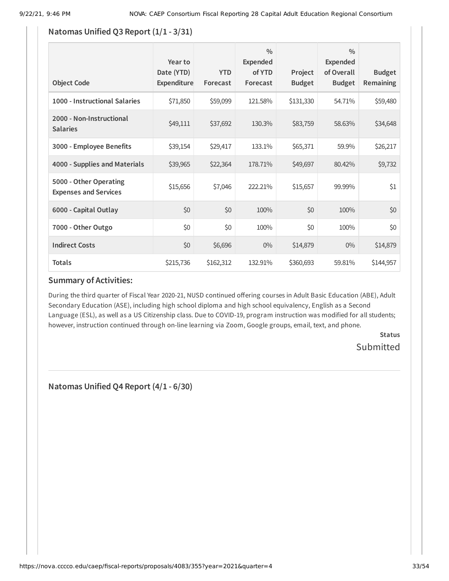### **Natomas Unified Q3 Report (1/1 - 3/31)**

| <b>Object Code</b>                                     | Year to<br>Date (YTD)<br>Expenditure | <b>YTD</b><br>Forecast | $\frac{0}{0}$<br>Expended<br>of YTD<br>Forecast | Project<br><b>Budget</b> | $\frac{0}{0}$<br>Expended<br>of Overall<br><b>Budget</b> | <b>Budget</b><br><b>Remaining</b> |
|--------------------------------------------------------|--------------------------------------|------------------------|-------------------------------------------------|--------------------------|----------------------------------------------------------|-----------------------------------|
| 1000 - Instructional Salaries                          | \$71,850                             | \$59,099               | 121.58%                                         | \$131,330                | 54.71%                                                   | \$59,480                          |
| 2000 - Non-Instructional<br><b>Salaries</b>            | \$49,111                             | \$37,692               | 130.3%                                          | \$83,759                 | 58.63%                                                   | \$34,648                          |
| 3000 - Employee Benefits                               | \$39,154                             | \$29,417               | 133.1%                                          | \$65,371                 | 59.9%                                                    | \$26,217                          |
| 4000 - Supplies and Materials                          | \$39,965                             | \$22,364               | 178.71%                                         | \$49,697                 | 80.42%                                                   | \$9,732                           |
| 5000 - Other Operating<br><b>Expenses and Services</b> | \$15,656                             | \$7,046                | 222.21%                                         | \$15,657                 | 99.99%                                                   | \$1                               |
| 6000 - Capital Outlay                                  | \$0                                  | \$0                    | 100%                                            | \$0                      | 100%                                                     | \$0                               |
| 7000 - Other Outgo                                     | \$0                                  | \$0                    | 100%                                            | \$0                      | 100%                                                     | \$0                               |
| <b>Indirect Costs</b>                                  | \$0                                  | \$6,696                | $0\%$                                           | \$14,879                 | $0\%$                                                    | \$14,879                          |
| <b>Totals</b>                                          | \$215,736                            | \$162,312              | 132.91%                                         | \$360,693                | 59.81%                                                   | \$144,957                         |

### **Summary of Activities:**

During the third quarter of Fiscal Year 2020-21, NUSD continued offering courses in Adult Basic Education (ABE), Adult Secondary Education (ASE), including high school diploma and high school equivalency, English as a Second Language (ESL), as well as a US Citizenship class. Due to COVID-19, program instruction was modified for all students; however, instruction continued through on-line learning via Zoom, Google groups, email, text, and phone.

> **Status** Submitted

**Natomas Unified Q4 Report (4/1 - 6/30)**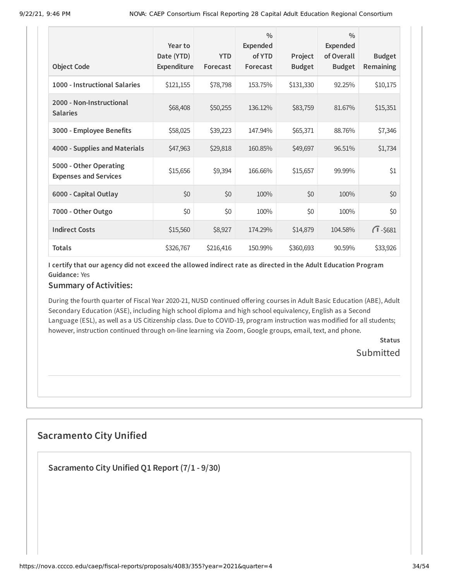| <b>Object Code</b>                                     | Year to<br>Date (YTD)<br><b>Expenditure</b> | <b>YTD</b><br>Forecast | $\frac{0}{0}$<br><b>Expended</b><br>of YTD<br>Forecast | Project<br><b>Budget</b> | $\frac{0}{0}$<br><b>Expended</b><br>of Overall<br><b>Budget</b> | <b>Budget</b><br>Remaining |
|--------------------------------------------------------|---------------------------------------------|------------------------|--------------------------------------------------------|--------------------------|-----------------------------------------------------------------|----------------------------|
| 1000 - Instructional Salaries                          | \$121,155                                   | \$78,798               | 153.75%                                                | \$131,330                | 92.25%                                                          | \$10,175                   |
|                                                        |                                             |                        |                                                        |                          |                                                                 |                            |
| 2000 - Non-Instructional<br><b>Salaries</b>            | \$68,408                                    | \$50,255               | 136.12%                                                | \$83,759                 | 81.67%                                                          | \$15,351                   |
| 3000 - Employee Benefits                               | \$58,025                                    | \$39,223               | 147.94%                                                | \$65,371                 | 88.76%                                                          | \$7,346                    |
| 4000 - Supplies and Materials                          | \$47,963                                    | \$29,818               | 160.85%                                                | \$49,697                 | 96.51%                                                          | \$1,734                    |
| 5000 - Other Operating<br><b>Expenses and Services</b> | \$15,656                                    | \$9,394                | 166.66%                                                | \$15,657                 | 99.99%                                                          | \$1                        |
| 6000 - Capital Outlay                                  | \$0                                         | \$0                    | 100%                                                   | \$0                      | 100%                                                            | \$0                        |
| 7000 - Other Outgo                                     | \$0                                         | \$0                    | 100%                                                   | \$0                      | 100%                                                            | \$0                        |
| <b>Indirect Costs</b>                                  | \$15,560                                    | \$8,927                | 174.29%                                                | \$14,879                 | 104.58%                                                         | $\sqrt{1} - $681$          |
| <b>Totals</b>                                          | \$326,767                                   | \$216,416              | 150.99%                                                | \$360,693                | 90.59%                                                          | \$33,926                   |

#### **Summary of Activities:**

During the fourth quarter of Fiscal Year 2020-21, NUSD continued offering courses in Adult Basic Education (ABE), Adult Secondary Education (ASE), including high school diploma and high school equivalency, English as a Second Language (ESL), as well as a US Citizenship class. Due to COVID-19, program instruction was modified for all students; however, instruction continued through on-line learning via Zoom, Google groups, email, text, and phone.

> **Status** Submitted

# **Sacramento City Unified**

**Sacramento City Unified Q1 Report (7/1 - 9/30)**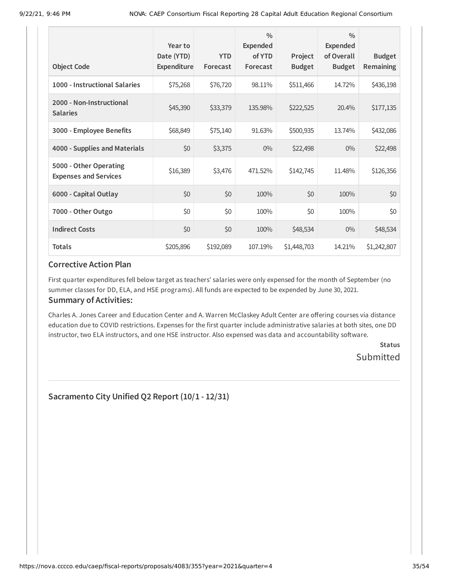| <b>Object Code</b>                                     | Year to<br>Date (YTD)<br>Expenditure | <b>YTD</b><br>Forecast | $\frac{0}{0}$<br><b>Expended</b><br>of YTD<br>Forecast | Project<br><b>Budget</b> | $\frac{0}{0}$<br><b>Expended</b><br>of Overall<br><b>Budget</b> | <b>Budget</b><br>Remaining |
|--------------------------------------------------------|--------------------------------------|------------------------|--------------------------------------------------------|--------------------------|-----------------------------------------------------------------|----------------------------|
| 1000 - Instructional Salaries                          | \$75,268                             | \$76,720               | 98.11%                                                 | \$511,466                | 14.72%                                                          | \$436,198                  |
| 2000 - Non-Instructional<br><b>Salaries</b>            | \$45,390                             | \$33,379               | 135.98%                                                | \$222,525                | 20.4%                                                           | \$177,135                  |
| 3000 - Employee Benefits                               | \$68,849                             | \$75,140               | 91.63%                                                 | \$500,935                | 13.74%                                                          | \$432,086                  |
| 4000 - Supplies and Materials                          | \$0                                  | \$3,375                | $0\%$                                                  | \$22,498                 | $0\%$                                                           | \$22,498                   |
| 5000 - Other Operating<br><b>Expenses and Services</b> | \$16,389                             | \$3,476                | 471.52%                                                | \$142,745                | 11.48%                                                          | \$126,356                  |
| 6000 - Capital Outlay                                  | \$0                                  | \$0                    | 100%                                                   | \$0                      | 100%                                                            | \$0                        |
| 7000 - Other Outgo                                     | \$0                                  | \$0                    | 100%                                                   | \$0                      | 100%                                                            | \$0                        |
| <b>Indirect Costs</b>                                  | \$0                                  | \$0                    | 100%                                                   | \$48,534                 | $0\%$                                                           | \$48,534                   |
| <b>Totals</b>                                          | \$205,896                            | \$192,089              | 107.19%                                                | \$1,448,703              | 14.21%                                                          | \$1,242,807                |

First quarter expenditures fell below target as teachers' salaries were only expensed for the month of September (no summer classes for DD, ELA, and HSE programs). All funds are expected to be expended by June 30, 2021.

#### **Summary of Activities:**

Charles A. Jones Career and Education Center and A. Warren McClaskey Adult Center are offering courses via distance education due to COVID restrictions. Expenses for the first quarter include administrative salaries at both sites, one DD instructor, two ELA instructors, and one HSE instructor. Also expensed was data and accountability software.

> **Status** Submitted

**Sacramento City Unified Q2 Report (10/1 - 12/31)**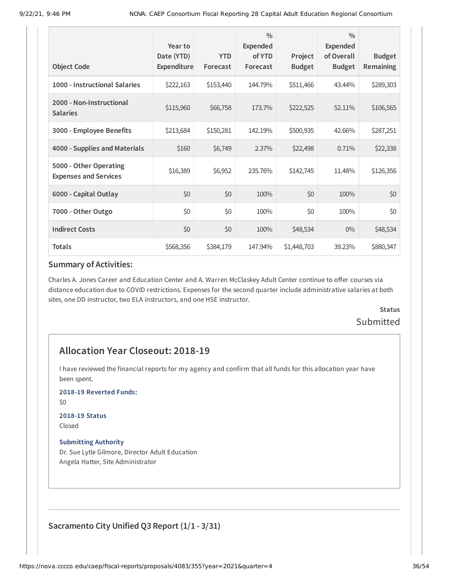| <b>Object Code</b>                                     | Year to<br>Date (YTD)<br>Expenditure | <b>YTD</b><br>Forecast | $\frac{0}{0}$<br>Expended<br>of YTD<br>Forecast | Project<br><b>Budget</b> | $\frac{0}{0}$<br><b>Expended</b><br>of Overall<br><b>Budget</b> | <b>Budget</b><br><b>Remaining</b> |
|--------------------------------------------------------|--------------------------------------|------------------------|-------------------------------------------------|--------------------------|-----------------------------------------------------------------|-----------------------------------|
| 1000 - Instructional Salaries                          | \$222,163                            | \$153,440              | 144.79%                                         | \$511,466                | 43.44%                                                          | \$289,303                         |
| 2000 - Non-Instructional<br><b>Salaries</b>            | \$115,960                            | \$66,758               | 173.7%                                          | \$222,525                | 52.11%                                                          | \$106,565                         |
| 3000 - Employee Benefits                               | \$213,684                            | \$150,281              | 142.19%                                         | \$500,935                | 42.66%                                                          | \$287,251                         |
| 4000 - Supplies and Materials                          | \$160                                | \$6,749                | 2.37%                                           | \$22,498                 | 0.71%                                                           | \$22,338                          |
| 5000 - Other Operating<br><b>Expenses and Services</b> | \$16,389                             | \$6,952                | 235.76%                                         | \$142,745                | 11.48%                                                          | \$126,356                         |
| 6000 - Capital Outlay                                  | \$0                                  | \$0                    | 100%                                            | \$0                      | 100%                                                            | \$0                               |
| 7000 - Other Outgo                                     | \$0                                  | \$0                    | 100%                                            | \$0                      | 100%                                                            | \$0                               |
| <b>Indirect Costs</b>                                  | \$0                                  | \$0                    | 100%                                            | \$48,534                 | $0\%$                                                           | \$48,534                          |
| <b>Totals</b>                                          | \$568,356                            | \$384,179              | 147.94%                                         | \$1,448,703              | 39.23%                                                          | \$880,347                         |

Charles A. Jones Career and Education Center and A. Warren McClaskey Adult Center continue to offer courses via distance education due to COVID restrictions. Expenses for the second quarter include administrative salaries at both sites, one DD instructor, two ELA instructors, and one HSE instructor.

# **Status Submitted**

# **Allocation Year Closeout: 2018-19**

I have reviewed the financial reports for my agency and confirm that all funds for this allocation year have been spent.

**2018-19 Reverted Funds:**

\$0

# **2018-19 Status**

Closed

### **Submitting Authority**

Dr. Sue Lytle Gilmore, Director Adult Education Angela Hatter, Site Administrator

**Sacramento City Unified Q3 Report (1/1 - 3/31)**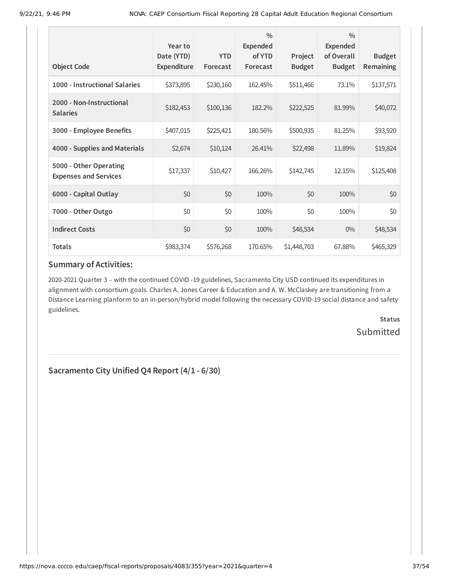| <b>Object Code</b>                                     | Year to<br>Date (YTD)<br>Expenditure | <b>YTD</b><br>Forecast | $\frac{0}{0}$<br>Expended<br>of YTD<br>Forecast | Project<br><b>Budget</b> | $\frac{0}{0}$<br><b>Expended</b><br>of Overall<br><b>Budget</b> | <b>Budget</b><br>Remaining |
|--------------------------------------------------------|--------------------------------------|------------------------|-------------------------------------------------|--------------------------|-----------------------------------------------------------------|----------------------------|
| 1000 - Instructional Salaries                          | \$373,895                            | \$230,160              | 162.45%                                         | \$511,466                | 73.1%                                                           | \$137,571                  |
| 2000 - Non-Instructional<br><b>Salaries</b>            | \$182,453                            | \$100,136              | 182.2%                                          | \$222,525                | 81.99%                                                          | \$40,072                   |
| 3000 - Employee Benefits                               | \$407,015                            | \$225,421              | 180.56%                                         | \$500,935                | 81.25%                                                          | \$93,920                   |
| 4000 - Supplies and Materials                          | \$2,674                              | \$10,124               | 26.41%                                          | \$22,498                 | 11.89%                                                          | \$19,824                   |
| 5000 - Other Operating<br><b>Expenses and Services</b> | \$17,337                             | \$10,427               | 166.26%                                         | \$142,745                | 12.15%                                                          | \$125,408                  |
| 6000 - Capital Outlay                                  | \$0                                  | \$0                    | 100%                                            | \$0                      | 100%                                                            | \$0                        |
| 7000 - Other Outgo                                     | \$0                                  | \$0                    | 100%                                            | \$0                      | 100%                                                            | \$0                        |
| <b>Indirect Costs</b>                                  | \$0                                  | \$0                    | 100%                                            | \$48,534                 | $0\%$                                                           | \$48,534                   |
| <b>Totals</b>                                          | \$983,374                            | \$576,268              | 170.65%                                         | \$1,448,703              | 67.88%                                                          | \$465,329                  |

2020-2021 Quarter 3 – with the continued COVID -19 guidelines, Sacramento City USD continued its expenditures in alignment with consortium goals. Charles A. Jones Career & Education and A. W. McClaskey are transitioning from a Distance Learning planform to an in-person/hybrid model following the necessary COVID-19 social distance and safety guidelines.

> **Status Submitted**

**Sacramento City Unified Q4 Report (4/1 - 6/30)**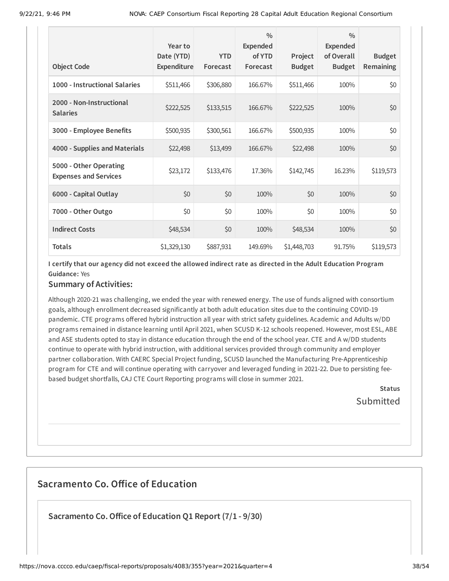| <b>Object Code</b>                                     | Year to<br>Date (YTD)<br>Expenditure | <b>YTD</b><br>Forecast | $\frac{0}{0}$<br><b>Expended</b><br>of YTD<br>Forecast | Project<br><b>Budget</b> | $\frac{0}{0}$<br><b>Expended</b><br>of Overall<br><b>Budget</b> | <b>Budget</b><br><b>Remaining</b> |
|--------------------------------------------------------|--------------------------------------|------------------------|--------------------------------------------------------|--------------------------|-----------------------------------------------------------------|-----------------------------------|
| 1000 - Instructional Salaries                          | \$511,466                            | \$306,880              | 166.67%                                                | \$511,466                | 100%                                                            | \$0                               |
| 2000 - Non-Instructional<br><b>Salaries</b>            | \$222,525                            | \$133,515              | 166.67%                                                | \$222,525                | 100%                                                            | \$0                               |
| 3000 - Employee Benefits                               | \$500,935                            | \$300,561              | 166.67%                                                | \$500,935                | 100%                                                            | \$0                               |
| 4000 - Supplies and Materials                          | \$22,498                             | \$13,499               | 166.67%                                                | \$22,498                 | 100%                                                            | \$0                               |
| 5000 - Other Operating<br><b>Expenses and Services</b> | \$23,172                             | \$133,476              | 17.36%                                                 | \$142,745                | 16.23%                                                          | \$119,573                         |
| 6000 - Capital Outlay                                  | \$0                                  | \$0                    | 100%                                                   | \$0                      | 100%                                                            | \$0                               |
| 7000 - Other Outgo                                     | \$0                                  | \$0                    | 100%                                                   | \$0                      | 100%                                                            | \$0                               |
| <b>Indirect Costs</b>                                  | \$48,534                             | \$0                    | 100%                                                   | \$48,534                 | 100%                                                            | \$0                               |
| <b>Totals</b>                                          | \$1,329,130                          | \$887,931              | 149.69%                                                | \$1,448,703              | 91.75%                                                          | \$119,573                         |

#### **Summary of Activities:**

Although 2020-21 was challenging, we ended the year with renewed energy. The use of funds aligned with consortium goals, although enrollment decreased significantly at both adult education sites due to the continuing COVID-19 pandemic. CTE programs offered hybrid instruction all year with strict safety guidelines. Academic and Adults w/DD programs remained in distance learning until April 2021, when SCUSD K-12 schools reopened. However, most ESL, ABE and ASE students opted to stay in distance education through the end of the school year. CTE and A w/DD students continue to operate with hybrid instruction, with additional services provided through community and employer partner collaboration. With CAERC Special Project funding, SCUSD launched the Manufacturing Pre-Apprenticeship program for CTE and will continue operating with carryover and leveraged funding in 2021-22. Due to persisting feebased budget shortfalls, CAJ CTE Court Reporting programs will close in summer 2021.

> **Status** Submitted

# **Sacramento Co. Office of Education**

**Sacramento Co.Office of Education Q1 Report (7/1 - 9/30)**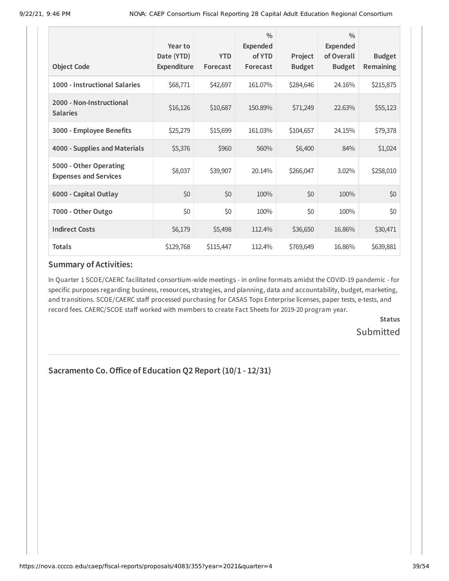| <b>Object Code</b>                                     | Year to<br>Date (YTD)<br>Expenditure | <b>YTD</b><br>Forecast | $\frac{0}{0}$<br><b>Expended</b><br>of YTD<br>Forecast | Project<br><b>Budget</b> | $\frac{0}{0}$<br><b>Expended</b><br>of Overall<br><b>Budget</b> | <b>Budget</b><br>Remaining |
|--------------------------------------------------------|--------------------------------------|------------------------|--------------------------------------------------------|--------------------------|-----------------------------------------------------------------|----------------------------|
| 1000 - Instructional Salaries                          | \$68,771                             | \$42,697               | 161.07%                                                | \$284,646                | 24.16%                                                          | \$215,875                  |
| 2000 - Non-Instructional<br><b>Salaries</b>            | \$16,126                             | \$10,687               | 150.89%                                                | \$71,249                 | 22.63%                                                          | \$55,123                   |
| 3000 - Employee Benefits                               | \$25,279                             | \$15,699               | 161.03%                                                | \$104,657                | 24.15%                                                          | \$79,378                   |
| 4000 - Supplies and Materials                          | \$5,376                              | \$960                  | 560%                                                   | \$6,400                  | 84%                                                             | \$1,024                    |
| 5000 - Other Operating<br><b>Expenses and Services</b> | \$8,037                              | \$39,907               | 20.14%                                                 | \$266,047                | 3.02%                                                           | \$258,010                  |
| 6000 - Capital Outlay                                  | \$0                                  | \$0                    | 100%                                                   | \$0                      | 100%                                                            | \$0                        |
| 7000 - Other Outgo                                     | \$0                                  | \$0                    | 100%                                                   | \$0                      | 100%                                                            | \$0                        |
| <b>Indirect Costs</b>                                  | \$6,179                              | \$5,498                | 112.4%                                                 | \$36,650                 | 16.86%                                                          | \$30,471                   |
| <b>Totals</b>                                          | \$129,768                            | \$115,447              | 112.4%                                                 | \$769,649                | 16.86%                                                          | \$639,881                  |

In Quarter 1 SCOE/CAERC facilitated consortium-wide meetings - in online formats amidst the COVID-19 pandemic - for specific purposes regarding business, resources, strategies, and planning, data and accountability, budget, marketing, and transitions. SCOE/CAERC staff processed purchasing for CASAS Tops Enterprise licenses, paper tests, e-tests, and record fees. CAERC/SCOE staff worked with members to create Fact Sheets for 2019-20 program year.

> **Status Submitted**

# **Sacramento Co.Office of Education Q2 Report (10/1 - 12/31)**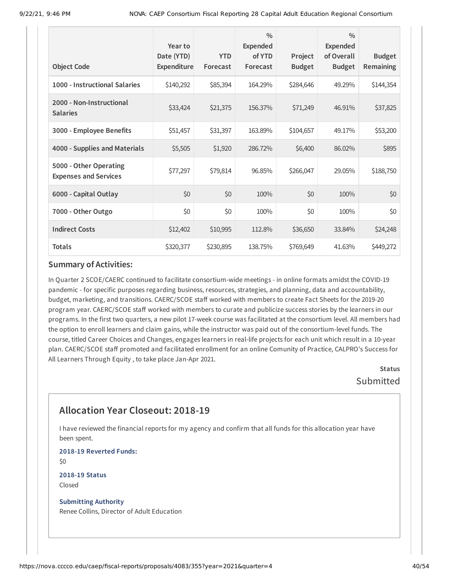| <b>Object Code</b>                                     | Year to<br>Date (YTD)<br>Expenditure | <b>YTD</b><br>Forecast | $\frac{0}{0}$<br><b>Expended</b><br>of YTD<br>Forecast | Project<br><b>Budget</b> | $\frac{0}{0}$<br><b>Expended</b><br>of Overall<br><b>Budget</b> | <b>Budget</b><br>Remaining |
|--------------------------------------------------------|--------------------------------------|------------------------|--------------------------------------------------------|--------------------------|-----------------------------------------------------------------|----------------------------|
| 1000 - Instructional Salaries                          | \$140,292                            | \$85,394               | 164.29%                                                | \$284,646                | 49.29%                                                          | \$144,354                  |
| 2000 - Non-Instructional<br><b>Salaries</b>            | \$33,424                             | \$21,375               | 156.37%                                                | \$71,249                 | 46.91%                                                          | \$37,825                   |
| 3000 - Employee Benefits                               | \$51,457                             | \$31,397               | 163.89%                                                | \$104,657                | 49.17%                                                          | \$53,200                   |
| 4000 - Supplies and Materials                          | \$5,505                              | \$1,920                | 286.72%                                                | \$6,400                  | 86.02%                                                          | \$895                      |
| 5000 - Other Operating<br><b>Expenses and Services</b> | \$77,297                             | \$79,814               | 96.85%                                                 | \$266,047                | 29.05%                                                          | \$188,750                  |
| 6000 - Capital Outlay                                  | \$0                                  | \$0                    | 100%                                                   | \$0                      | 100%                                                            | \$0                        |
| 7000 - Other Outgo                                     | \$0                                  | \$0                    | 100%                                                   | \$0                      | 100%                                                            | \$0                        |
| <b>Indirect Costs</b>                                  | \$12,402                             | \$10,995               | 112.8%                                                 | \$36,650                 | 33.84%                                                          | \$24,248                   |
| <b>Totals</b>                                          | \$320,377                            | \$230,895              | 138.75%                                                | \$769,649                | 41.63%                                                          | \$449,272                  |

In Quarter 2 SCOE/CAERC continued to facilitate consortium-wide meetings - in online formats amidst the COVID-19 pandemic - for specific purposes regarding business, resources, strategies, and planning, data and accountability, budget, marketing, and transitions. CAERC/SCOE staff worked with members to create Fact Sheets for the 2019-20 program year. CAERC/SCOE staff worked with members to curate and publicize success stories by the learners in our programs. In the first two quarters, a new pilot 17-week course was facilitated at the consortium level. All members had the option to enroll learners and claim gains, while the instructor was paid out of the consortium-level funds. The course, titled Career Choices and Changes, engages learners in real-life projects for each unit which result in a 10-year plan. CAERC/SCOE staff promoted and facilitated enrollment for an online Comunity of Practice, CALPRO's Success for All Learners Through Equity , to take place Jan-Apr 2021.

> **Status** Submitted

# **Allocation Year Closeout: 2018-19**

I have reviewed the financial reports for my agency and confirm that all funds for this allocation year have been spent.

**2018-19 Reverted Funds:** \$0

**2018-19 Status** Closed

**Submitting Authority** Renee Collins, Director of Adult Education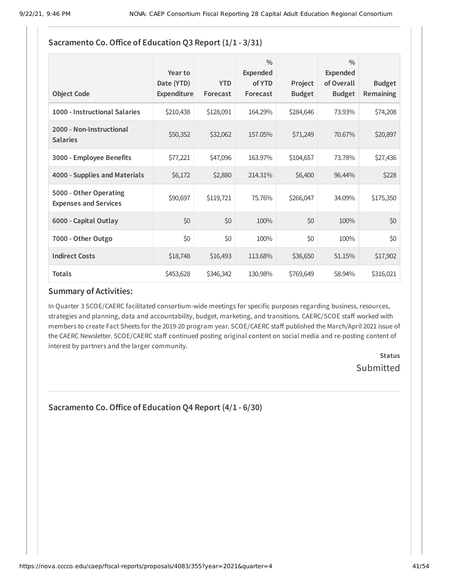| Sacramento Co. Office of Education Q3 Report (1/1 - 3/31) |                                      |                        |                                                 |                          |                                                          |                            |  |  |
|-----------------------------------------------------------|--------------------------------------|------------------------|-------------------------------------------------|--------------------------|----------------------------------------------------------|----------------------------|--|--|
| <b>Object Code</b>                                        | Year to<br>Date (YTD)<br>Expenditure | <b>YTD</b><br>Forecast | $\frac{0}{0}$<br>Expended<br>of YTD<br>Forecast | Project<br><b>Budget</b> | $\frac{0}{0}$<br>Expended<br>of Overall<br><b>Budget</b> | <b>Budget</b><br>Remaining |  |  |
| 1000 - Instructional Salaries                             | \$210,438                            | \$128,091              | 164.29%                                         | \$284,646                | 73.93%                                                   | \$74,208                   |  |  |
| 2000 - Non-Instructional<br><b>Salaries</b>               | \$50,352                             | \$32,062               | 157.05%                                         | \$71,249                 | 70.67%                                                   | \$20,897                   |  |  |
| 3000 - Employee Benefits                                  | \$77,221                             | \$47,096               | 163.97%                                         | \$104,657                | 73.78%                                                   | \$27,436                   |  |  |
| 4000 - Supplies and Materials                             | \$6,172                              | \$2,880                | 214.31%                                         | \$6,400                  | 96.44%                                                   | \$228                      |  |  |
| 5000 - Other Operating<br><b>Expenses and Services</b>    | \$90,697                             | \$119,721              | 75.76%                                          | \$266,047                | 34.09%                                                   | \$175,350                  |  |  |
| 6000 - Capital Outlay                                     | \$0                                  | \$0                    | 100%                                            | \$0                      | 100%                                                     | \$0                        |  |  |
| 7000 - Other Outgo                                        | \$0                                  | \$0                    | 100%                                            | \$0                      | 100%                                                     | \$0                        |  |  |
| <b>Indirect Costs</b>                                     | \$18,748                             | \$16,493               | 113.68%                                         | \$36,650                 | 51.15%                                                   | \$17,902                   |  |  |
| <b>Totals</b>                                             | \$453,628                            | \$346,342              | 130.98%                                         | \$769,649                | 58.94%                                                   | \$316,021                  |  |  |

# **Sacramento Co.Office of Education Q3 Report (1/1 - 3/31)**

#### **Summary of Activities:**

In Quarter 3 SCOE/CAERC facilitated consortium-wide meetings for specific purposes regarding business, resources, strategies and planning, data and accountability, budget, marketing, and transitions. CAERC/SCOE staff worked with members to create Fact Sheets for the 2019-20 program year. SCOE/CAERC staff published the March/April 2021 issue of the CAERC Newsletter. SCOE/CAERC staff continued posting original content on social media and re-posting content of interest by partners and the larger community.

> **Status** Submitted

**Sacramento Co.Office of Education Q4 Report (4/1 - 6/30)**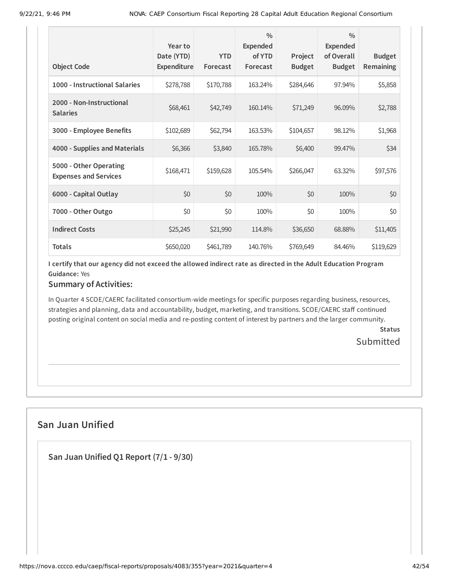| <b>Object Code</b>                                     | Year to<br>Date (YTD)<br>Expenditure | <b>YTD</b><br>Forecast | $\frac{0}{0}$<br><b>Expended</b><br>of YTD<br>Forecast | Project<br><b>Budget</b> | $\frac{0}{0}$<br>Expended<br>of Overall<br><b>Budget</b> | <b>Budget</b><br>Remaining |
|--------------------------------------------------------|--------------------------------------|------------------------|--------------------------------------------------------|--------------------------|----------------------------------------------------------|----------------------------|
| 1000 - Instructional Salaries                          | \$278,788                            | \$170,788              | 163.24%                                                | \$284,646                | 97.94%                                                   | \$5,858                    |
| 2000 - Non-Instructional<br><b>Salaries</b>            | \$68,461                             | \$42,749               | 160.14%                                                | \$71,249                 | 96.09%                                                   | \$2,788                    |
| 3000 - Employee Benefits                               | \$102,689                            | \$62,794               | 163.53%                                                | \$104,657                | 98.12%                                                   | \$1,968                    |
| 4000 - Supplies and Materials                          | \$6,366                              | \$3,840                | 165.78%                                                | \$6,400                  | 99.47%                                                   | \$34                       |
| 5000 - Other Operating<br><b>Expenses and Services</b> | \$168,471                            | \$159,628              | 105.54%                                                | \$266,047                | 63.32%                                                   | \$97,576                   |
| 6000 - Capital Outlay                                  | \$0                                  | \$0                    | 100%                                                   | \$0                      | 100%                                                     | \$0                        |
| 7000 - Other Outgo                                     | \$0                                  | \$0                    | 100%                                                   | \$0                      | 100%                                                     | \$0                        |
| <b>Indirect Costs</b>                                  | \$25,245                             | \$21,990               | 114.8%                                                 | \$36,650                 | 68.88%                                                   | \$11,405                   |
| <b>Totals</b>                                          | \$650,020                            | \$461,789              | 140.76%                                                | \$769,649                | 84.46%                                                   | \$119,629                  |

### **Summary of Activities:**

In Quarter 4 SCOE/CAERC facilitated consortium-wide meetings for specific purposes regarding business, resources, strategies and planning, data and accountability, budget, marketing, and transitions. SCOE/CAERC staff continued posting original content on social media and re-posting content of interest by partners and the larger community.

> **Status Submitted**

# **San Juan Unified**

**San Juan Unified Q1 Report (7/1 - 9/30)**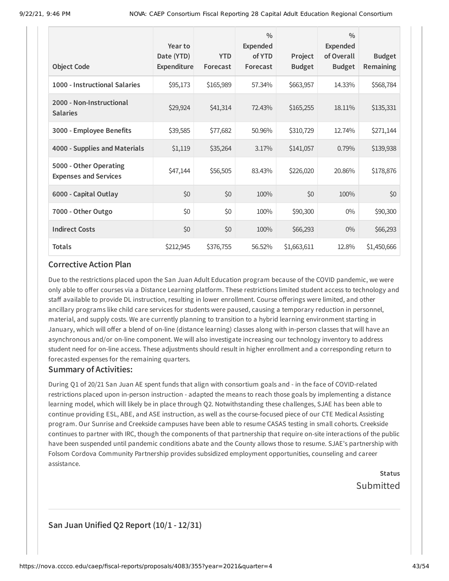| <b>Object Code</b>                                     | Year to<br>Date (YTD)<br>Expenditure | <b>YTD</b><br>Forecast | $\frac{0}{0}$<br><b>Expended</b><br>of YTD<br>Forecast | Project<br><b>Budget</b> | $\frac{0}{0}$<br><b>Expended</b><br>of Overall<br><b>Budget</b> | <b>Budget</b><br>Remaining |
|--------------------------------------------------------|--------------------------------------|------------------------|--------------------------------------------------------|--------------------------|-----------------------------------------------------------------|----------------------------|
| 1000 - Instructional Salaries                          | \$95,173                             | \$165,989              | 57.34%                                                 | \$663,957                | 14.33%                                                          | \$568,784                  |
| 2000 - Non-Instructional<br><b>Salaries</b>            | \$29,924                             | \$41,314               | 72.43%                                                 | \$165,255                | 18.11%                                                          | \$135,331                  |
| 3000 - Employee Benefits                               | \$39,585                             | \$77,682               | 50.96%                                                 | \$310,729                | 12.74%                                                          | \$271,144                  |
| 4000 - Supplies and Materials                          | \$1,119                              | \$35,264               | 3.17%                                                  | \$141,057                | 0.79%                                                           | \$139,938                  |
| 5000 - Other Operating<br><b>Expenses and Services</b> | \$47,144                             | \$56,505               | 83.43%                                                 | \$226,020                | 20.86%                                                          | \$178,876                  |
| 6000 - Capital Outlay                                  | \$0                                  | \$0                    | 100%                                                   | \$0                      | 100%                                                            | \$0                        |
| 7000 - Other Outgo                                     | \$0                                  | \$0                    | 100%                                                   | \$90,300                 | $0\%$                                                           | \$90,300                   |
| <b>Indirect Costs</b>                                  | \$0                                  | \$0                    | 100%                                                   | \$66,293                 | $0\%$                                                           | \$66,293                   |
| <b>Totals</b>                                          | \$212,945                            | \$376,755              | 56.52%                                                 | \$1,663,611              | 12.8%                                                           | \$1,450,666                |

Due to the restrictions placed upon the San Juan Adult Education program because of the COVID pandemic, we were only able to offer courses via a Distance Learning platform. These restrictions limited student access to technology and staff available to provide DL instruction, resulting in lower enrollment. Course offerings were limited, and other ancillary programs like child care services for students were paused, causing a temporary reduction in personnel, material, and supply costs. We are currently planning to transition to a hybrid learning environment starting in January, which will offer a blend of on-line (distance learning) classes along with in-person classes that will have an asynchronous and/or on-line component. We will also investigate increasing our technology inventory to address student need for on-line access. These adjustments should result in higher enrollment and a corresponding return to forecasted expenses for the remaining quarters.

#### **Summary of Activities:**

During Q1 of 20/21 San Juan AE spent funds that align with consortium goals and - in the face of COVID-related restrictions placed upon in-person instruction - adapted the means to reach those goals by implementing a distance learning model, which will likely be in place through Q2. Notwithstanding these challenges, SJAE has been able to continue providing ESL, ABE, and ASE instruction, as well as the course-focused piece of our CTE Medical Assisting program. Our Sunrise and Creekside campuses have been able to resume CASAS testing in small cohorts. Creekside continues to partner with IRC, though the components of that partnership that require on-site interactions of the public have been suspended until pandemic conditions abate and the County allows those to resume. SJAE's partnership with Folsom Cordova Community Partnership provides subsidized employment opportunities, counseling and career assistance.

> **Status** Submitted

### **San Juan Unified Q2 Report (10/1 - 12/31)**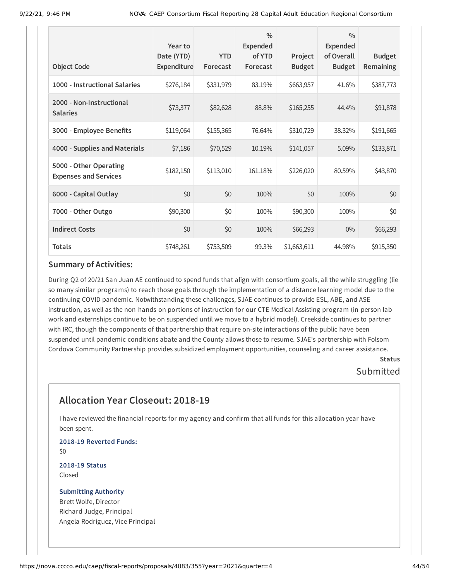| <b>Object Code</b>                                     | Year to<br>Date (YTD)<br>Expenditure | <b>YTD</b><br>Forecast | $\frac{0}{0}$<br><b>Expended</b><br>of YTD<br>Forecast | Project<br><b>Budget</b> | $\frac{0}{0}$<br><b>Expended</b><br>of Overall<br><b>Budget</b> | <b>Budget</b><br>Remaining |
|--------------------------------------------------------|--------------------------------------|------------------------|--------------------------------------------------------|--------------------------|-----------------------------------------------------------------|----------------------------|
| 1000 - Instructional Salaries                          | \$276,184                            | \$331,979              | 83.19%                                                 | \$663,957                | 41.6%                                                           | \$387,773                  |
| 2000 - Non-Instructional<br><b>Salaries</b>            | \$73,377                             | \$82,628               | 88.8%                                                  | \$165,255                | 44.4%                                                           | \$91,878                   |
| 3000 - Employee Benefits                               | \$119,064                            | \$155,365              | 76.64%                                                 | \$310,729                | 38.32%                                                          | \$191,665                  |
| 4000 - Supplies and Materials                          | \$7,186                              | \$70,529               | 10.19%                                                 | \$141,057                | 5.09%                                                           | \$133,871                  |
| 5000 - Other Operating<br><b>Expenses and Services</b> | \$182,150                            | \$113,010              | 161.18%                                                | \$226,020                | 80.59%                                                          | \$43,870                   |
| 6000 - Capital Outlay                                  | \$0                                  | \$0                    | 100%                                                   | \$0                      | 100%                                                            | \$0                        |
| 7000 - Other Outgo                                     | \$90,300                             | \$0                    | 100%                                                   | \$90,300                 | 100%                                                            | \$0                        |
| <b>Indirect Costs</b>                                  | \$0                                  | \$0                    | 100%                                                   | \$66,293                 | $0\%$                                                           | \$66,293                   |
| <b>Totals</b>                                          | \$748,261                            | \$753,509              | 99.3%                                                  | \$1,663,611              | 44.98%                                                          | \$915,350                  |

During Q2 of 20/21 San Juan AE continued to spend funds that align with consortium goals, all the while struggling (lie so many similar programs) to reach those goals through the implementation of a distance learning model due to the continuing COVID pandemic. Notwithstanding these challenges, SJAE continues to provide ESL, ABE, and ASE instruction, as well as the non-hands-on portions of instruction for our CTE Medical Assisting program (in-person lab work and externships continue to be on suspended until we move to a hybrid model). Creekside continues to partner with IRC, though the components of that partnership that require on-site interactions of the public have been suspended until pandemic conditions abate and the County allows those to resume. SJAE's partnership with Folsom Cordova Community Partnership provides subsidized employment opportunities, counseling and career assistance.

### **Status Submitted**

# **Allocation Year Closeout: 2018-19**

I have reviewed the financial reports for my agency and confirm that all funds for this allocation year have been spent.

**2018-19 Reverted Funds:** \$0

**2018-19 Status** Closed

#### **Submitting Authority** Brett Wolfe, Director

Richard Judge, Principal Angela Rodriguez, Vice Principal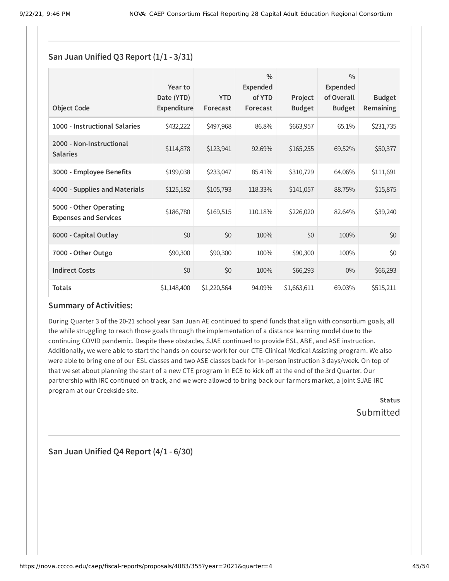### **San Juan Unified Q3 Report (1/1 - 3/31)**

| <b>Object Code</b>                                     | Year to<br>Date (YTD)<br>Expenditure | <b>YTD</b><br>Forecast | $\frac{0}{0}$<br><b>Expended</b><br>of YTD<br>Forecast | Project<br><b>Budget</b> | $\frac{0}{0}$<br>Expended<br>of Overall<br><b>Budget</b> | <b>Budget</b><br>Remaining |
|--------------------------------------------------------|--------------------------------------|------------------------|--------------------------------------------------------|--------------------------|----------------------------------------------------------|----------------------------|
| 1000 - Instructional Salaries                          | \$432,222                            | \$497,968              | 86.8%                                                  | \$663,957                | 65.1%                                                    | \$231,735                  |
| 2000 - Non-Instructional<br><b>Salaries</b>            | \$114,878                            | \$123,941              | 92.69%                                                 | \$165,255                | 69.52%                                                   | \$50,377                   |
| 3000 - Employee Benefits                               | \$199,038                            | \$233,047              | 85.41%                                                 | \$310,729                | 64.06%                                                   | \$111,691                  |
| 4000 - Supplies and Materials                          | \$125,182                            | \$105,793              | 118.33%                                                | \$141,057                | 88.75%                                                   | \$15,875                   |
| 5000 - Other Operating<br><b>Expenses and Services</b> | \$186,780                            | \$169,515              | 110.18%                                                | \$226,020                | 82.64%                                                   | \$39,240                   |
| 6000 - Capital Outlay                                  | \$0                                  | \$0                    | 100%                                                   | \$0                      | 100%                                                     | \$0                        |
| 7000 - Other Outgo                                     | \$90,300                             | \$90,300               | 100%                                                   | \$90,300                 | 100%                                                     | \$0                        |
| <b>Indirect Costs</b>                                  | \$0                                  | \$0                    | 100%                                                   | \$66,293                 | $0\%$                                                    | \$66,293                   |
| <b>Totals</b>                                          | \$1,148,400                          | \$1,220,564            | 94.09%                                                 | \$1,663,611              | 69.03%                                                   | \$515,211                  |

#### **Summary of Activities:**

During Quarter 3 of the 20-21 school year San Juan AE continued to spend funds that align with consortium goals, all the while struggling to reach those goals through the implementation of a distance learning model due to the continuing COVID pandemic. Despite these obstacles, SJAE continued to provide ESL, ABE, and ASE instruction. Additionally, we were able to start the hands-on course work for our CTE-Clinical Medical Assisting program. We also were able to bring one of our ESL classes and two ASE classes back for in-person instruction 3 days/week. On top of that we set about planning the start of a new CTE program in ECE to kick off at the end of the 3rd Quarter. Our partnership with IRC continued on track, and we were allowed to bring back our farmers market, a joint SJAE-IRC program at our Creekside site.

> **Status** Submitted

**San Juan Unified Q4 Report (4/1 - 6/30)**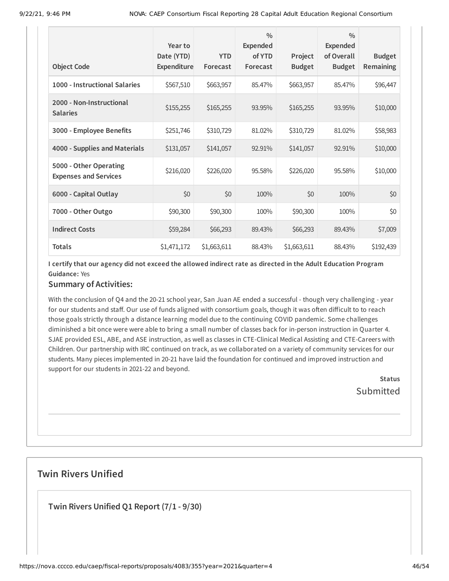|                                                        | Year to<br>Date (YTD) | <b>YTD</b>  | $\frac{0}{0}$<br><b>Expended</b><br>of YTD | Project       | $\frac{0}{0}$<br><b>Expended</b><br>of Overall | <b>Budget</b> |
|--------------------------------------------------------|-----------------------|-------------|--------------------------------------------|---------------|------------------------------------------------|---------------|
| <b>Object Code</b>                                     | Expenditure           | Forecast    | Forecast                                   | <b>Budget</b> | <b>Budget</b>                                  | Remaining     |
| 1000 - Instructional Salaries                          | \$567,510             | \$663,957   | 85.47%                                     | \$663,957     | 85.47%                                         | \$96,447      |
| 2000 - Non-Instructional<br><b>Salaries</b>            | \$155,255             | \$165,255   | 93.95%                                     | \$165,255     | 93.95%                                         | \$10,000      |
| 3000 - Employee Benefits                               | \$251,746             | \$310,729   | 81.02%                                     | \$310,729     | 81.02%                                         | \$58,983      |
| 4000 - Supplies and Materials                          | \$131,057             | \$141,057   | 92.91%                                     | \$141,057     | 92.91%                                         | \$10,000      |
| 5000 - Other Operating<br><b>Expenses and Services</b> | \$216,020             | \$226,020   | 95.58%                                     | \$226,020     | 95.58%                                         | \$10,000      |
| 6000 - Capital Outlay                                  | \$0                   | \$0         | 100%                                       | \$0           | 100%                                           | \$0           |
| 7000 - Other Outgo                                     | \$90,300              | \$90,300    | 100%                                       | \$90,300      | 100%                                           | \$0           |
| <b>Indirect Costs</b>                                  | \$59,284              | \$66,293    | 89.43%                                     | \$66,293      | 89.43%                                         | \$7,009       |
| <b>Totals</b>                                          | \$1,471,172           | \$1,663,611 | 88.43%                                     | \$1,663,611   | 88.43%                                         | \$192,439     |

## **Summary of Activities:**

With the conclusion of Q4 and the 20-21 school year, San Juan AE ended a successful - though very challenging - year for our students and staff. Our use of funds aligned with consortium goals, though it was often difficult to to reach those goals strictly through a distance learning model due to the continuing COVID pandemic. Some challenges diminished a bit once were were able to bring a small number of classes back for in-person instruction in Quarter 4. SJAE provided ESL, ABE, and ASE instruction, as well as classes in CTE-Clinical Medical Assisting and CTE-Careers with Children. Our partnership with IRC continued on track, as we collaborated on a variety of community services for our students. Many pieces implemented in 20-21 have laid the foundation for continued and improved instruction and support for our students in 2021-22 and beyond.

> **Status Submitted**

# **Twin Rivers Unified**

**Twin Rivers Unified Q1 Report (7/1 - 9/30)**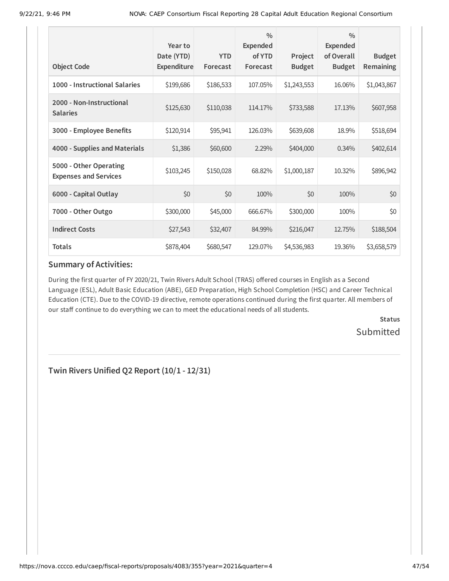| <b>Object Code</b>                                     | Year to<br>Date (YTD)<br>Expenditure | <b>YTD</b><br>Forecast | $\frac{0}{0}$<br><b>Expended</b><br>of YTD<br>Forecast | Project<br><b>Budget</b> | $\frac{0}{0}$<br><b>Expended</b><br>of Overall<br><b>Budget</b> | <b>Budget</b><br>Remaining |
|--------------------------------------------------------|--------------------------------------|------------------------|--------------------------------------------------------|--------------------------|-----------------------------------------------------------------|----------------------------|
| 1000 - Instructional Salaries                          | \$199,686                            | \$186,533              | 107.05%                                                | \$1,243,553              | 16.06%                                                          | \$1,043,867                |
| 2000 - Non-Instructional<br><b>Salaries</b>            | \$125,630                            | \$110,038              | 114.17%                                                | \$733,588                | 17.13%                                                          | \$607,958                  |
| 3000 - Employee Benefits                               | \$120,914                            | \$95,941               | 126.03%                                                | \$639,608                | 18.9%                                                           | \$518,694                  |
| 4000 - Supplies and Materials                          | \$1,386                              | \$60,600               | 2.29%                                                  | \$404,000                | 0.34%                                                           | \$402,614                  |
| 5000 - Other Operating<br><b>Expenses and Services</b> | \$103,245                            | \$150,028              | 68.82%                                                 | \$1,000,187              | 10.32%                                                          | \$896,942                  |
| 6000 - Capital Outlay                                  | \$0                                  | \$0                    | 100%                                                   | \$0                      | 100%                                                            | \$0                        |
| 7000 - Other Outgo                                     | \$300,000                            | \$45,000               | 666.67%                                                | \$300,000                | 100%                                                            | \$0                        |
| <b>Indirect Costs</b>                                  | \$27,543                             | \$32,407               | 84.99%                                                 | \$216,047                | 12.75%                                                          | \$188,504                  |
| <b>Totals</b>                                          | \$878,404                            | \$680,547              | 129.07%                                                | \$4,536,983              | 19.36%                                                          | \$3,658,579                |

During the first quarter of FY 2020/21, Twin Rivers Adult School (TRAS) offered courses in English as a Second Language (ESL), Adult Basic Education (ABE), GED Preparation, High School Completion (HSC) and Career Technical Education (CTE). Due to the COVID-19 directive, remote operations continued during the first quarter. All members of our staff continue to do everything we can to meet the educational needs of all students.

> **Status** Submitted

**Twin Rivers Unified Q2 Report (10/1 - 12/31)**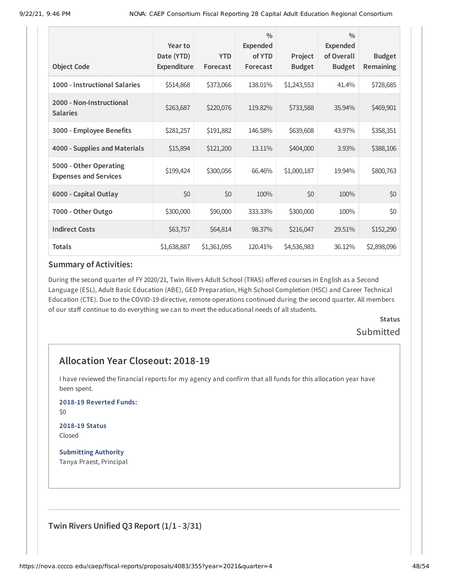|                                                        | Year to<br>Date (YTD) | <b>YTD</b>  | $\frac{0}{0}$<br><b>Expended</b><br>of YTD | Project       | $\frac{0}{0}$<br><b>Expended</b><br>of Overall | <b>Budget</b> |
|--------------------------------------------------------|-----------------------|-------------|--------------------------------------------|---------------|------------------------------------------------|---------------|
| <b>Object Code</b>                                     | Expenditure           | Forecast    | Forecast                                   | <b>Budget</b> | <b>Budget</b>                                  | Remaining     |
| 1000 - Instructional Salaries                          | \$514,868             | \$373,066   | 138.01%                                    | \$1,243,553   | 41.4%                                          | \$728,685     |
| 2000 - Non-Instructional<br><b>Salaries</b>            | \$263,687             | \$220,076   | 119.82%                                    | \$733,588     | 35.94%                                         | \$469,901     |
| 3000 - Employee Benefits                               | \$281,257             | \$191,882   | 146.58%                                    | \$639,608     | 43.97%                                         | \$358,351     |
| 4000 - Supplies and Materials                          | \$15,894              | \$121,200   | 13.11%                                     | \$404,000     | 3.93%                                          | \$388,106     |
| 5000 - Other Operating<br><b>Expenses and Services</b> | \$199,424             | \$300,056   | 66.46%                                     | \$1,000,187   | 19.94%                                         | \$800,763     |
| 6000 - Capital Outlay                                  | \$0                   | \$0         | 100%                                       | \$0           | 100%                                           | \$0           |
| 7000 - Other Outgo                                     | \$300,000             | \$90,000    | 333.33%                                    | \$300,000     | 100%                                           | \$0           |
| <b>Indirect Costs</b>                                  | \$63,757              | \$64,814    | 98.37%                                     | \$216,047     | 29.51%                                         | \$152,290     |
| <b>Totals</b>                                          | \$1,638,887           | \$1,361,095 | 120.41%                                    | \$4,536,983   | 36.12%                                         | \$2,898,096   |

During the second quarter of FY 2020/21, Twin Rivers Adult School (TRAS) offered courses in English as a Second Language (ESL), Adult Basic Education (ABE), GED Preparation, High School Completion (HSC) and Career Technical Education (CTE). Due to the COVID-19 directive, remote operations continued during the second quarter. All members of our staff continue to do everything we can to meet the educational needs of all students.

> **Status** Submitted

# **Allocation Year Closeout: 2018-19**

I have reviewed the financial reports for my agency and confirm that all funds for this allocation year have been spent.

**2018-19 Reverted Funds:**

\$0

#### **2018-19 Status** Closed

**Submitting Authority** Tanya Praest, Principal

**Twin Rivers Unified Q3 Report (1/1 - 3/31)**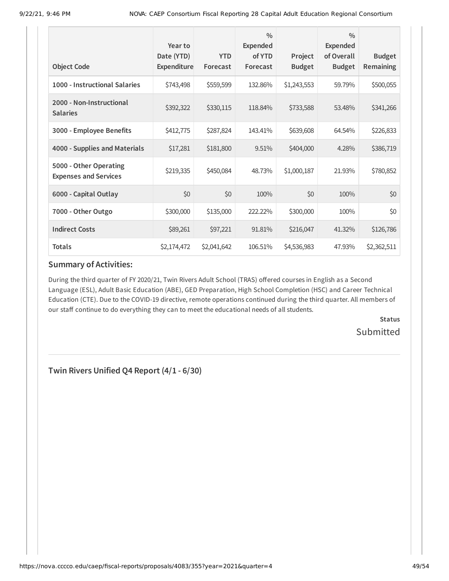| <b>Object Code</b>                                     | Year to<br>Date (YTD)<br>Expenditure | <b>YTD</b><br>Forecast | $\frac{0}{0}$<br><b>Expended</b><br>of YTD<br>Forecast | Project<br><b>Budget</b> | $\frac{0}{0}$<br><b>Expended</b><br>of Overall<br><b>Budget</b> | <b>Budget</b><br>Remaining |
|--------------------------------------------------------|--------------------------------------|------------------------|--------------------------------------------------------|--------------------------|-----------------------------------------------------------------|----------------------------|
| 1000 - Instructional Salaries                          | \$743,498                            | \$559,599              | 132.86%                                                | \$1,243,553              | 59.79%                                                          | \$500,055                  |
| 2000 - Non-Instructional<br><b>Salaries</b>            | \$392,322                            | \$330,115              | 118.84%                                                | \$733,588                | 53.48%                                                          | \$341,266                  |
| 3000 - Employee Benefits                               | \$412,775                            | \$287,824              | 143.41%                                                | \$639,608                | 64.54%                                                          | \$226,833                  |
| 4000 - Supplies and Materials                          | \$17,281                             | \$181,800              | 9.51%                                                  | \$404,000                | 4.28%                                                           | \$386,719                  |
| 5000 - Other Operating<br><b>Expenses and Services</b> | \$219,335                            | \$450,084              | 48.73%                                                 | \$1,000,187              | 21.93%                                                          | \$780,852                  |
| 6000 - Capital Outlay                                  | \$0                                  | \$0                    | 100%                                                   | \$0                      | 100%                                                            | \$0                        |
| 7000 - Other Outgo                                     | \$300,000                            | \$135,000              | 222.22%                                                | \$300,000                | 100%                                                            | \$0                        |
| <b>Indirect Costs</b>                                  | \$89,261                             | \$97,221               | 91.81%                                                 | \$216,047                | 41.32%                                                          | \$126,786                  |
| <b>Totals</b>                                          | \$2,174,472                          | \$2,041,642            | 106.51%                                                | \$4,536,983              | 47.93%                                                          | \$2,362,511                |

During the third quarter of FY 2020/21, Twin Rivers Adult School (TRAS) offered courses in English as a Second Language (ESL), Adult Basic Education (ABE), GED Preparation, High School Completion (HSC) and Career Technical Education (CTE). Due to the COVID-19 directive, remote operations continued during the third quarter. All members of our staff continue to do everything they can to meet the educational needs of all students.

> **Status** Submitted

**Twin Rivers Unified Q4 Report (4/1 - 6/30)**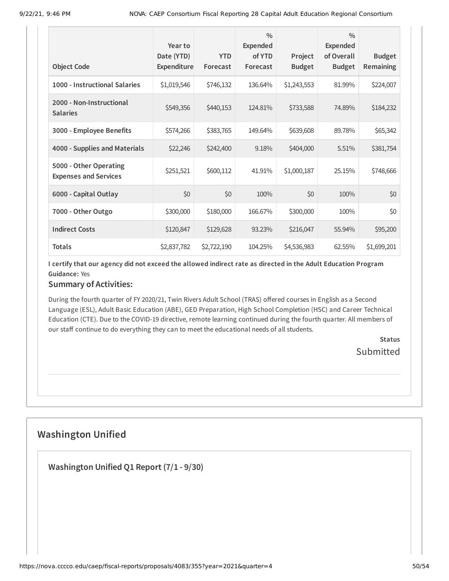| <b>Object Code</b>                                     | Year to<br>Date (YTD)<br>Expenditure | <b>YTD</b><br>Forecast | $\frac{0}{0}$<br><b>Expended</b><br>of YTD<br>Forecast | Project<br><b>Budget</b> | $\frac{0}{0}$<br>Expended<br>of Overall<br><b>Budget</b> | <b>Budget</b><br>Remaining |
|--------------------------------------------------------|--------------------------------------|------------------------|--------------------------------------------------------|--------------------------|----------------------------------------------------------|----------------------------|
| 1000 - Instructional Salaries                          | \$1,019,546                          | \$746,132              | 136.64%                                                | \$1,243,553              | 81.99%                                                   | \$224,007                  |
| 2000 - Non-Instructional<br><b>Salaries</b>            | \$549,356                            | \$440,153              | 124.81%                                                | \$733,588                | 74.89%                                                   | \$184,232                  |
| 3000 - Employee Benefits                               | \$574,266                            | \$383,765              | 149.64%                                                | \$639,608                | 89.78%                                                   | \$65,342                   |
| 4000 - Supplies and Materials                          | \$22,246                             | \$242,400              | 9.18%                                                  | \$404,000                | 5.51%                                                    | \$381,754                  |
| 5000 - Other Operating<br><b>Expenses and Services</b> | \$251,521                            | \$600,112              | 41.91%                                                 | \$1,000,187              | 25.15%                                                   | \$748,666                  |
| 6000 - Capital Outlay                                  | \$0                                  | \$0                    | 100%                                                   | \$0                      | 100%                                                     | \$0                        |
| 7000 - Other Outgo                                     | \$300,000                            | \$180,000              | 166.67%                                                | \$300,000                | 100%                                                     | \$0                        |
| <b>Indirect Costs</b>                                  | \$120,847                            | \$129,628              | 93.23%                                                 | \$216,047                | 55.94%                                                   | \$95,200                   |
| <b>Totals</b>                                          | \$2,837,782                          | \$2,722,190            | 104.25%                                                | \$4,536,983              | 62.55%                                                   | \$1,699,201                |

### **Summary of Activities:**

During the fourth quarter of FY 2020/21, Twin Rivers Adult School (TRAS) offered courses in English as a Second Language (ESL), Adult Basic Education (ABE), GED Preparation, High School Completion (HSC) and Career Technical Education (CTE). Due to the COVID-19 directive, remote learning continued during the fourth quarter. All members of our staff continue to do everything they can to meet the educational needs of all students.

> **Status Submitted**

# **Washington Unified**

**Washington Unified Q1 Report (7/1 - 9/30)**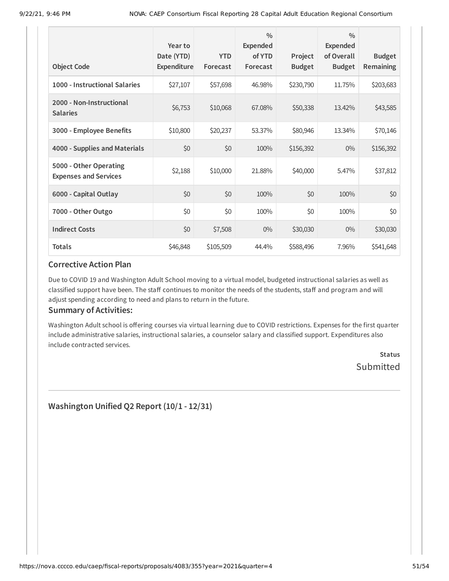| <b>Object Code</b>                                     | Year to<br>Date (YTD)<br>Expenditure | <b>YTD</b><br>Forecast | $\frac{0}{0}$<br><b>Expended</b><br>of YTD<br>Forecast | Project<br><b>Budget</b> | $\frac{0}{0}$<br><b>Expended</b><br>of Overall<br><b>Budget</b> | <b>Budget</b><br>Remaining |
|--------------------------------------------------------|--------------------------------------|------------------------|--------------------------------------------------------|--------------------------|-----------------------------------------------------------------|----------------------------|
| 1000 - Instructional Salaries                          | \$27,107                             | \$57,698               | 46.98%                                                 | \$230,790                | 11.75%                                                          | \$203,683                  |
| 2000 - Non-Instructional<br><b>Salaries</b>            | \$6,753                              | \$10,068               | 67.08%                                                 | \$50,338                 | 13.42%                                                          | \$43,585                   |
| 3000 - Employee Benefits                               | \$10,800                             | \$20,237               | 53.37%                                                 | \$80,946                 | 13.34%                                                          | \$70,146                   |
| 4000 - Supplies and Materials                          | \$0                                  | \$0                    | 100%                                                   | \$156,392                | $0\%$                                                           | \$156,392                  |
| 5000 - Other Operating<br><b>Expenses and Services</b> | \$2,188                              | \$10,000               | 21.88%                                                 | \$40,000                 | 5.47%                                                           | \$37,812                   |
| 6000 - Capital Outlay                                  | \$0                                  | \$0                    | 100%                                                   | \$0                      | 100%                                                            | \$0                        |
| 7000 - Other Outgo                                     | \$0                                  | \$0                    | 100%                                                   | \$0                      | 100%                                                            | \$0                        |
| <b>Indirect Costs</b>                                  | \$0                                  | \$7,508                | $0\%$                                                  | \$30,030                 | $0\%$                                                           | \$30,030                   |
| <b>Totals</b>                                          | \$46,848                             | \$105,509              | 44.4%                                                  | \$588,496                | 7.96%                                                           | \$541,648                  |

Due to COVID 19 and Washington Adult School moving to a virtual model, budgeted instructional salaries as well as classified support have been. The staff continues to monitor the needs of the students, staff and program and will adjust spending according to need and plans to return in the future.

#### **Summary of Activities:**

Washington Adult school is offering courses via virtual learning due to COVID restrictions. Expenses for the first quarter include administrative salaries, instructional salaries, a counselor salary and classified support. Expenditures also include contracted services.

> **Status** Submitted

**Washington Unified Q2 Report (10/1 - 12/31)**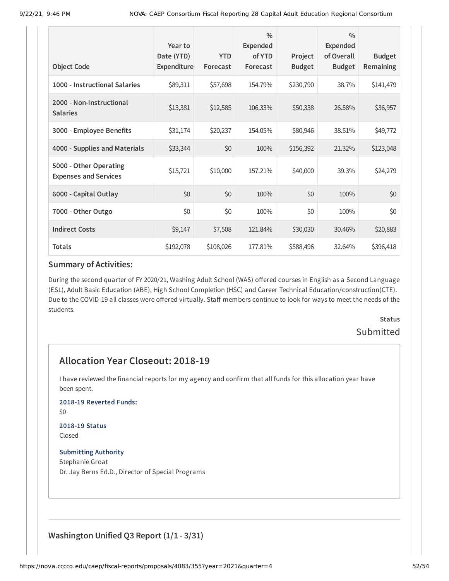| <b>Object Code</b>                                     | Year to<br>Date (YTD)<br><b>Expenditure</b> | <b>YTD</b><br>Forecast | $\frac{0}{0}$<br><b>Expended</b><br>of YTD<br>Forecast | Project<br><b>Budget</b> | $\frac{0}{0}$<br><b>Expended</b><br>of Overall<br><b>Budget</b> | <b>Budget</b><br>Remaining |
|--------------------------------------------------------|---------------------------------------------|------------------------|--------------------------------------------------------|--------------------------|-----------------------------------------------------------------|----------------------------|
| 1000 - Instructional Salaries                          | \$89,311                                    | \$57,698               | 154.79%                                                | \$230,790                | 38.7%                                                           | \$141,479                  |
| 2000 - Non-Instructional<br><b>Salaries</b>            | \$13,381                                    | \$12,585               | 106.33%                                                | \$50,338                 | 26.58%                                                          | \$36,957                   |
| 3000 - Employee Benefits                               | \$31,174                                    | \$20,237               | 154.05%                                                | \$80,946                 | 38.51%                                                          | \$49,772                   |
| 4000 - Supplies and Materials                          | \$33,344                                    | \$0                    | 100%                                                   | \$156,392                | 21.32%                                                          | \$123,048                  |
| 5000 - Other Operating<br><b>Expenses and Services</b> | \$15,721                                    | \$10,000               | 157.21%                                                | \$40,000                 | 39.3%                                                           | \$24,279                   |
| 6000 - Capital Outlay                                  | \$0                                         | \$0                    | 100%                                                   | \$0                      | 100%                                                            | \$0                        |
| 7000 - Other Outgo                                     | \$0                                         | \$0                    | 100%                                                   | \$0                      | 100%                                                            | \$0                        |
| <b>Indirect Costs</b>                                  | \$9,147                                     | \$7,508                | 121.84%                                                | \$30,030                 | 30.46%                                                          | \$20,883                   |
| <b>Totals</b>                                          | \$192,078                                   | \$108,026              | 177.81%                                                | \$588,496                | 32.64%                                                          | \$396,418                  |

During the second quarter of FY 2020/21, Washing Adult School (WAS) offered courses in English as a Second Language (ESL), Adult Basic Education (ABE), High School Completion (HSC) and Career Technical Education/construction(CTE). Due to the COVID-19 all classes were offered virtually. Staff members continue to look for ways to meet the needs of the students.

# **Status** Submitted

# **Allocation Year Closeout: 2018-19**

I have reviewed the financial reports for my agency and confirm that all funds for this allocation year have been spent.

#### **2018-19 Reverted Funds:**

\$0

#### **2018-19 Status** Closed

**Submitting Authority** Stephanie Groat Dr. Jay Berns Ed.D., Director of Special Programs

# **Washington Unified Q3 Report (1/1 - 3/31)**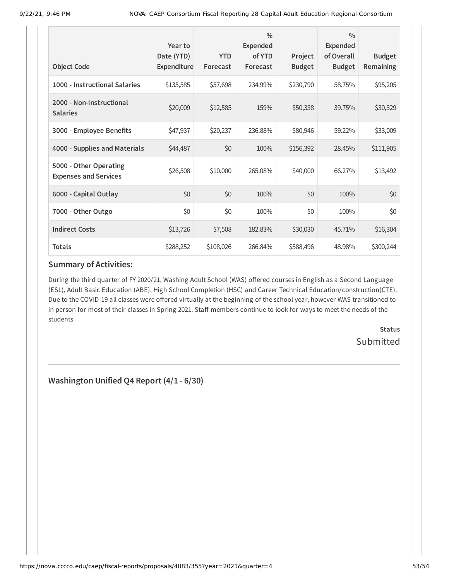| <b>Object Code</b>                                     | Year to<br>Date (YTD)<br><b>Expenditure</b> | <b>YTD</b><br>Forecast | $\frac{0}{0}$<br>Expended<br>of YTD<br>Forecast | Project<br><b>Budget</b> | $\frac{0}{0}$<br><b>Expended</b><br>of Overall<br><b>Budget</b> | <b>Budget</b><br>Remaining |
|--------------------------------------------------------|---------------------------------------------|------------------------|-------------------------------------------------|--------------------------|-----------------------------------------------------------------|----------------------------|
| 1000 - Instructional Salaries                          | \$135,585                                   | \$57,698               | 234.99%                                         | \$230,790                | 58.75%                                                          | \$95,205                   |
| 2000 - Non-Instructional<br><b>Salaries</b>            | \$20,009                                    | \$12,585               | 159%                                            | \$50,338                 | 39.75%                                                          | \$30,329                   |
| 3000 - Employee Benefits                               | \$47,937                                    | \$20,237               | 236.88%                                         | \$80,946                 | 59.22%                                                          | \$33,009                   |
| 4000 - Supplies and Materials                          | \$44,487                                    | \$0                    | 100%                                            | \$156,392                | 28.45%                                                          | \$111,905                  |
| 5000 - Other Operating<br><b>Expenses and Services</b> | \$26,508                                    | \$10,000               | 265.08%                                         | \$40,000                 | 66.27%                                                          | \$13,492                   |
| 6000 - Capital Outlay                                  | \$0                                         | \$0                    | 100%                                            | \$0                      | 100%                                                            | \$0                        |
| 7000 - Other Outgo                                     | \$0                                         | \$0                    | 100%                                            | \$0                      | 100%                                                            | \$0                        |
| <b>Indirect Costs</b>                                  | \$13,726                                    | \$7,508                | 182.83%                                         | \$30,030                 | 45.71%                                                          | \$16,304                   |
| <b>Totals</b>                                          | \$288,252                                   | \$108,026              | 266.84%                                         | \$588,496                | 48.98%                                                          | \$300,244                  |

During the third quarter of FY 2020/21, Washing Adult School (WAS) offered courses in English as a Second Language (ESL), Adult Basic Education (ABE), High School Completion (HSC) and Career Technical Education/construction(CTE). Due to the COVID-19 all classes were offered virtually at the beginning of the school year, however WAS transitioned to in person for most of their classes in Spring 2021. Staff members continue to look for ways to meet the needs of the students

> **Status** Submitted

**Washington Unified Q4 Report (4/1 - 6/30)**